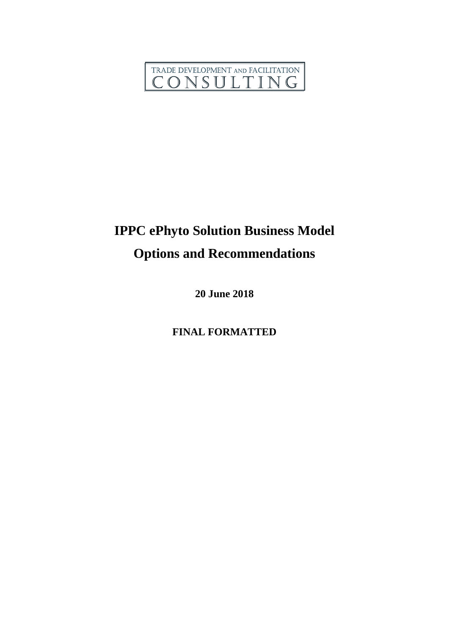

# **IPPC ePhyto Solution Business Model Options and Recommendations**

**20 June 2018**

**FINAL FORMATTED**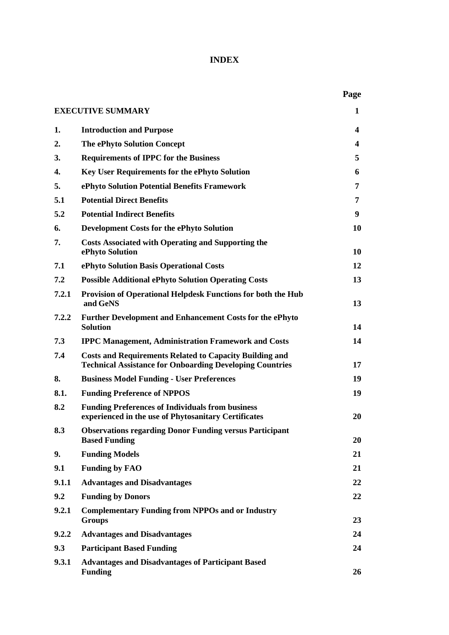# **INDEX**

|       |                                                                                                                                   | Page |
|-------|-----------------------------------------------------------------------------------------------------------------------------------|------|
|       | <b>EXECUTIVE SUMMARY</b>                                                                                                          | 1    |
| 1.    | <b>Introduction and Purpose</b>                                                                                                   | 4    |
| 2.    | <b>The ePhyto Solution Concept</b>                                                                                                | 4    |
| 3.    | <b>Requirements of IPPC for the Business</b>                                                                                      | 5    |
| 4.    | <b>Key User Requirements for the ePhyto Solution</b>                                                                              | 6    |
| 5.    | ePhyto Solution Potential Benefits Framework                                                                                      | 7    |
| 5.1   | <b>Potential Direct Benefits</b>                                                                                                  | 7    |
| 5.2   | <b>Potential Indirect Benefits</b>                                                                                                | 9    |
| 6.    | <b>Development Costs for the ePhyto Solution</b>                                                                                  | 10   |
| 7.    | <b>Costs Associated with Operating and Supporting the</b><br>ePhyto Solution                                                      | 10   |
| 7.1   | ePhyto Solution Basis Operational Costs                                                                                           | 12   |
| 7.2   | <b>Possible Additional ePhyto Solution Operating Costs</b>                                                                        | 13   |
| 7.2.1 | Provision of Operational Helpdesk Functions for both the Hub<br>and GeNS                                                          | 13   |
| 7.2.2 | <b>Further Development and Enhancement Costs for the ePhyto</b><br><b>Solution</b>                                                | 14   |
| 7.3   | <b>IPPC Management, Administration Framework and Costs</b>                                                                        | 14   |
| 7.4   | <b>Costs and Requirements Related to Capacity Building and</b><br><b>Technical Assistance for Onboarding Developing Countries</b> | 17   |
| 8.    | <b>Business Model Funding - User Preferences</b>                                                                                  | 19   |
| 8.1.  | <b>Funding Preference of NPPOS</b>                                                                                                | 19   |
| 8.2   | <b>Funding Preferences of Individuals from business</b><br>experienced in the use of Phytosanitary Certificates                   | 20   |
| 8.3   | <b>Observations regarding Donor Funding versus Participant</b><br><b>Based Funding</b>                                            | 20   |
| 9.    | <b>Funding Models</b>                                                                                                             | 21   |
| 9.1   | <b>Funding by FAO</b>                                                                                                             | 21   |
| 9.1.1 | <b>Advantages and Disadvantages</b>                                                                                               | 22   |
| 9.2   | <b>Funding by Donors</b>                                                                                                          | 22   |
| 9.2.1 | <b>Complementary Funding from NPPOs and or Industry</b><br><b>Groups</b>                                                          | 23   |
| 9.2.2 | <b>Advantages and Disadvantages</b>                                                                                               | 24   |
| 9.3   | <b>Participant Based Funding</b>                                                                                                  | 24   |
| 9.3.1 | <b>Advantages and Disadvantages of Participant Based</b><br><b>Funding</b>                                                        | 26   |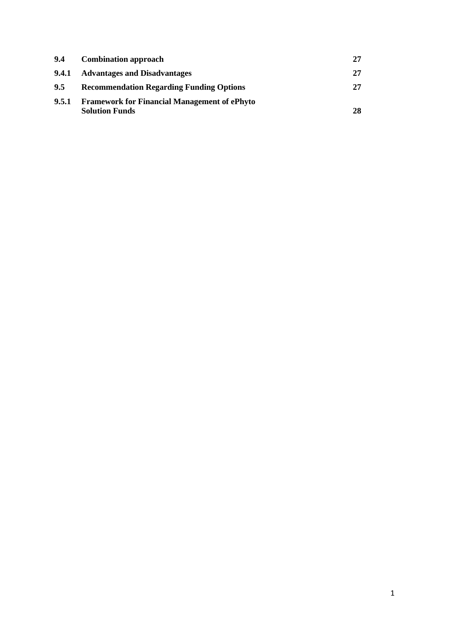| 9.4   | <b>Combination approach</b>                                                  |    |
|-------|------------------------------------------------------------------------------|----|
| 9.4.1 | <b>Advantages and Disadvantages</b>                                          | 27 |
| 9.5   | <b>Recommendation Regarding Funding Options</b>                              | 27 |
| 9.5.1 | <b>Framework for Financial Management of ePhyto</b><br><b>Solution Funds</b> | 28 |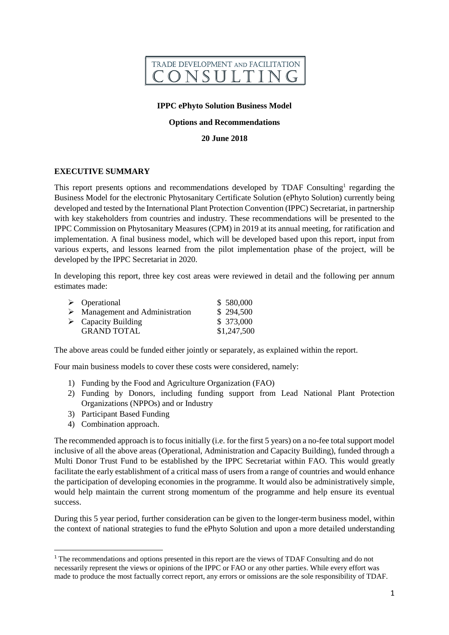

#### **IPPC ePhyto Solution Business Model**

#### **Options and Recommendations**

#### **20 June 2018**

#### **EXECUTIVE SUMMARY**

This report presents options and recommendations developed by TDAF Consulting<sup>1</sup> regarding the Business Model for the electronic Phytosanitary Certificate Solution (ePhyto Solution) currently being developed and tested by the International Plant Protection Convention (IPPC) Secretariat, in partnership with key stakeholders from countries and industry. These recommendations will be presented to the IPPC Commission on Phytosanitary Measures (CPM) in 2019 at its annual meeting, for ratification and implementation. A final business model, which will be developed based upon this report, input from various experts, and lessons learned from the pilot implementation phase of the project, will be developed by the IPPC Secretariat in 2020.

In developing this report, three key cost areas were reviewed in detail and the following per annum estimates made:

| $\triangleright$ Operational                   | \$580,000   |
|------------------------------------------------|-------------|
| $\triangleright$ Management and Administration | \$294,500   |
| $\triangleright$ Capacity Building             | \$373,000   |
| <b>GRAND TOTAL</b>                             | \$1,247,500 |

The above areas could be funded either jointly or separately, as explained within the report.

Four main business models to cover these costs were considered, namely:

- 1) Funding by the Food and Agriculture Organization (FAO)
- 2) Funding by Donors, including funding support from Lead National Plant Protection Organizations (NPPOs) and or Industry
- 3) Participant Based Funding
- 4) Combination approach.

**.** 

The recommended approach is to focus initially (i.e. for the first 5 years) on a no-fee total support model inclusive of all the above areas (Operational, Administration and Capacity Building), funded through a Multi Donor Trust Fund to be established by the IPPC Secretariat within FAO. This would greatly facilitate the early establishment of a critical mass of users from a range of countries and would enhance the participation of developing economies in the programme. It would also be administratively simple, would help maintain the current strong momentum of the programme and help ensure its eventual success.

During this 5 year period, further consideration can be given to the longer-term business model, within the context of national strategies to fund the ePhyto Solution and upon a more detailed understanding

<sup>1</sup> The recommendations and options presented in this report are the views of TDAF Consulting and do not necessarily represent the views or opinions of the IPPC or FAO or any other parties. While every effort was made to produce the most factually correct report, any errors or omissions are the sole responsibility of TDAF.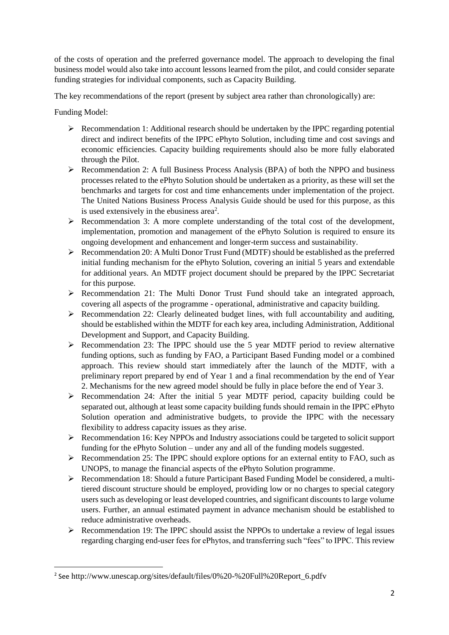of the costs of operation and the preferred governance model. The approach to developing the final business model would also take into account lessons learned from the pilot, and could consider separate funding strategies for individual components, such as Capacity Building.

The key recommendations of the report (present by subject area rather than chronologically) are:

Funding Model:

**.** 

- $\triangleright$  Recommendation 1: Additional research should be undertaken by the IPPC regarding potential direct and indirect benefits of the IPPC ePhyto Solution, including time and cost savings and economic efficiencies. Capacity building requirements should also be more fully elaborated through the Pilot.
- Recommendation 2: A full Business Process Analysis (BPA) of both the NPPO and business processes related to the ePhyto Solution should be undertaken as a priority, as these will set the benchmarks and targets for cost and time enhancements under implementation of the project. The United Nations Business Process Analysis Guide should be used for this purpose, as this is used extensively in the ebusiness area<sup>2</sup>.
- $\triangleright$  Recommendation 3: A more complete understanding of the total cost of the development, implementation, promotion and management of the ePhyto Solution is required to ensure its ongoing development and enhancement and longer-term success and sustainability.
- Recommendation 20: A Multi Donor Trust Fund (MDTF) should be established as the preferred initial funding mechanism for the ePhyto Solution, covering an initial 5 years and extendable for additional years. An MDTF project document should be prepared by the IPPC Secretariat for this purpose.
- $\triangleright$  Recommendation 21: The Multi Donor Trust Fund should take an integrated approach, covering all aspects of the programme - operational, administrative and capacity building.
- $\triangleright$  Recommendation 22: Clearly delineated budget lines, with full accountability and auditing, should be established within the MDTF for each key area, including Administration, Additional Development and Support, and Capacity Building.
- Recommendation 23: The IPPC should use the 5 year MDTF period to review alternative funding options, such as funding by FAO, a Participant Based Funding model or a combined approach. This review should start immediately after the launch of the MDTF, with a preliminary report prepared by end of Year 1 and a final recommendation by the end of Year 2. Mechanisms for the new agreed model should be fully in place before the end of Year 3.
- $\triangleright$  Recommendation 24: After the initial 5 year MDTF period, capacity building could be separated out, although at least some capacity building funds should remain in the IPPC ePhyto Solution operation and administrative budgets, to provide the IPPC with the necessary flexibility to address capacity issues as they arise.
- Recommendation 16: Key NPPOs and Industry associations could be targeted to solicit support funding for the ePhyto Solution – under any and all of the funding models suggested.
- $\triangleright$  Recommendation 25: The IPPC should explore options for an external entity to FAO, such as UNOPS, to manage the financial aspects of the ePhyto Solution programme.
- Recommendation 18: Should a future Participant Based Funding Model be considered, a multitiered discount structure should be employed, providing low or no charges to special category users such as developing or least developed countries, and significant discounts to large volume users. Further, an annual estimated payment in advance mechanism should be established to reduce administrative overheads.
- $\triangleright$  Recommendation 19: The IPPC should assist the NPPOs to undertake a review of legal issues regarding charging end-user fees for ePhytos, and transferring such "fees" to IPPC. This review

<sup>2</sup> See http://www.unescap.org/sites/default/files/0%20-%20Full%20Report\_6.pdfv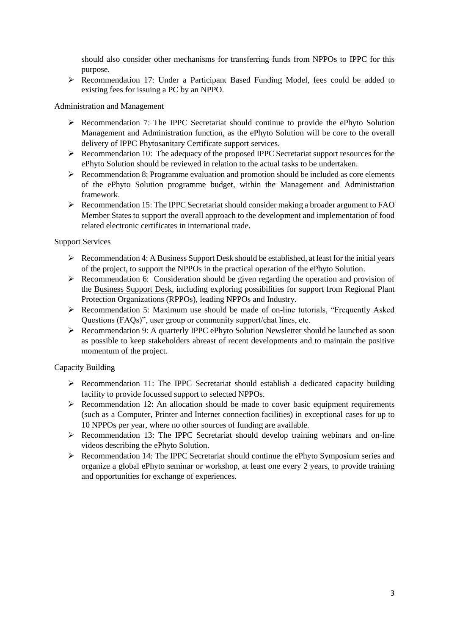should also consider other mechanisms for transferring funds from NPPOs to IPPC for this purpose.

 Recommendation 17: Under a Participant Based Funding Model, fees could be added to existing fees for issuing a PC by an NPPO.

Administration and Management

- $\triangleright$  Recommendation 7: The IPPC Secretariat should continue to provide the ePhyto Solution Management and Administration function, as the ePhyto Solution will be core to the overall delivery of IPPC Phytosanitary Certificate support services.
- $\triangleright$  Recommendation 10: The adequacy of the proposed IPPC Secretariat support resources for the ePhyto Solution should be reviewed in relation to the actual tasks to be undertaken.
- $\triangleright$  Recommendation 8: Programme evaluation and promotion should be included as core elements of the ePhyto Solution programme budget, within the Management and Administration framework.
- Recommendation 15: The IPPC Secretariat should consider making a broader argument to FAO Member States to support the overall approach to the development and implementation of food related electronic certificates in international trade.

Support Services

- $\triangleright$  Recommendation 4: A Business Support Desk should be established, at least for the initial years of the project, to support the NPPOs in the practical operation of the ePhyto Solution.
- $\triangleright$  Recommendation 6: Consideration should be given regarding the operation and provision of the Business Support Desk, including exploring possibilities for support from Regional Plant Protection Organizations (RPPOs), leading NPPOs and Industry.
- Recommendation 5: Maximum use should be made of on-line tutorials, "Frequently Asked Questions (FAQs)", user group or community support/chat lines, etc.
- Recommendation 9: A quarterly IPPC ePhyto Solution Newsletter should be launched as soon as possible to keep stakeholders abreast of recent developments and to maintain the positive momentum of the project.

#### Capacity Building

- $\triangleright$  Recommendation 11: The IPPC Secretariat should establish a dedicated capacity building facility to provide focussed support to selected NPPOs.
- $\triangleright$  Recommendation 12: An allocation should be made to cover basic equipment requirements (such as a Computer, Printer and Internet connection facilities) in exceptional cases for up to 10 NPPOs per year, where no other sources of funding are available.
- $\triangleright$  Recommendation 13: The IPPC Secretariat should develop training webinars and on-line videos describing the ePhyto Solution.
- Recommendation 14: The IPPC Secretariat should continue the ePhyto Symposium series and organize a global ePhyto seminar or workshop, at least one every 2 years, to provide training and opportunities for exchange of experiences.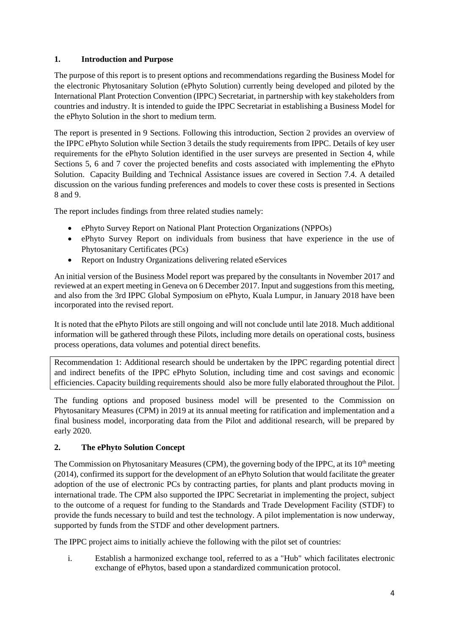#### **1. Introduction and Purpose**

The purpose of this report is to present options and recommendations regarding the Business Model for the electronic Phytosanitary Solution (ePhyto Solution) currently being developed and piloted by the International Plant Protection Convention (IPPC) Secretariat, in partnership with key stakeholders from countries and industry. It is intended to guide the IPPC Secretariat in establishing a Business Model for the ePhyto Solution in the short to medium term.

The report is presented in 9 Sections. Following this introduction, Section 2 provides an overview of the IPPC ePhyto Solution while Section 3 details the study requirements from IPPC. Details of key user requirements for the ePhyto Solution identified in the user surveys are presented in Section 4, while Sections 5, 6 and 7 cover the projected benefits and costs associated with implementing the ePhyto Solution. Capacity Building and Technical Assistance issues are covered in Section 7.4. A detailed discussion on the various funding preferences and models to cover these costs is presented in Sections 8 and 9.

The report includes findings from three related studies namely:

- ePhyto Survey Report on National Plant Protection Organizations (NPPOs)
- ePhyto Survey Report on individuals from business that have experience in the use of Phytosanitary Certificates (PCs)
- Report on Industry Organizations delivering related eServices

An initial version of the Business Model report was prepared by the consultants in November 2017 and reviewed at an expert meeting in Geneva on 6 December 2017. Input and suggestions from this meeting, and also from the 3rd IPPC Global Symposium on ePhyto, Kuala Lumpur, in January 2018 have been incorporated into the revised report.

It is noted that the ePhyto Pilots are still ongoing and will not conclude until late 2018. Much additional information will be gathered through these Pilots, including more details on operational costs, business process operations, data volumes and potential direct benefits.

Recommendation 1: Additional research should be undertaken by the IPPC regarding potential direct and indirect benefits of the IPPC ePhyto Solution, including time and cost savings and economic efficiencies. Capacity building requirements should also be more fully elaborated throughout the Pilot.

The funding options and proposed business model will be presented to the Commission on Phytosanitary Measures (CPM) in 2019 at its annual meeting for ratification and implementation and a final business model, incorporating data from the Pilot and additional research, will be prepared by early 2020.

# **2. The ePhyto Solution Concept**

The Commission on Phytosanitary Measures (CPM), the governing body of the IPPC, at its  $10<sup>th</sup>$  meeting (2014), confirmed its support for the development of an ePhyto Solution that would facilitate the greater adoption of the use of electronic PCs by contracting parties, for plants and plant products moving in international trade. The CPM also supported the IPPC Secretariat in implementing the project, subject to the outcome of a request for funding to the Standards and Trade Development Facility (STDF) to provide the funds necessary to build and test the technology. A pilot implementation is now underway, supported by funds from the STDF and other development partners.

The IPPC project aims to initially achieve the following with the pilot set of countries:

i. Establish a harmonized exchange tool, referred to as a "Hub" which facilitates electronic exchange of ePhytos, based upon a standardized communication protocol.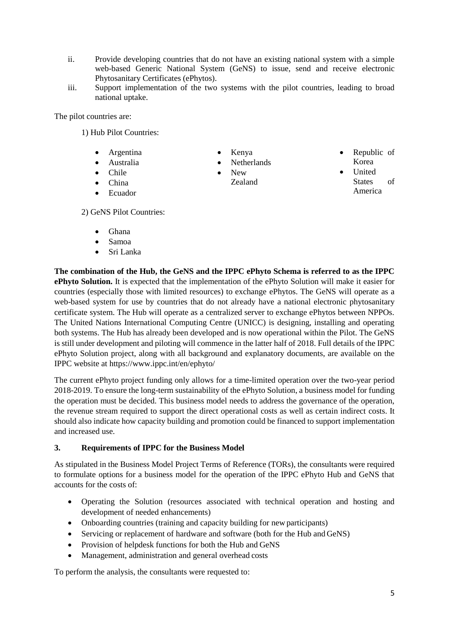- ii. Provide developing countries that do not have an existing national system with a simple web-based Generic National System (GeNS) to issue, send and receive electronic Phytosanitary Certificates (ePhytos).
- iii. Support implementation of the two systems with the pilot countries, leading to broad national uptake.

The pilot countries are:

1) Hub Pilot Countries:

- Argentina
- Australia
- Chile
- China
- Ecuador

Kenya

- Netherlands
- New Zealand
- Republic of Korea
- **United** States of America

2) GeNS Pilot Countries:

- Ghana
- Samoa
- Sri Lanka

**The combination of the Hub, the GeNS and the IPPC ePhyto Schema is referred to as the IPPC ePhyto Solution.** It is expected that the implementation of the ePhyto Solution will make it easier for countries (especially those with limited resources) to exchange ePhytos. The GeNS will operate as a web-based system for use by countries that do not already have a national electronic phytosanitary certificate system. The Hub will operate as a centralized server to exchange ePhytos between NPPOs. The United Nations International Computing Centre (UNICC) is designing, installing and operating both systems. The Hub has already been developed and is now operational within the Pilot. The GeNS is still under development and piloting will commence in the latter half of 2018. Full details of the IPPC ePhyto Solution project, along with all background and explanatory documents, are available on the IPPC website at<https://www.ippc.int/en/ephyto/>

The current ePhyto project funding only allows for a time-limited operation over the two-year period 2018-2019. To ensure the long-term sustainability of the ePhyto Solution, a business model for funding the operation must be decided. This business model needs to address the governance of the operation, the revenue stream required to support the direct operational costs as well as certain indirect costs. It should also indicate how capacity building and promotion could be financed to support implementation and increased use.

#### **3. Requirements of IPPC for the Business Model**

As stipulated in the Business Model Project Terms of Reference (TORs), the consultants were required to formulate options for a business model for the operation of the IPPC ePhyto Hub and GeNS that accounts for the costs of:

- Operating the Solution (resources associated with technical operation and hosting and development of needed enhancements)
- Onboarding countries (training and capacity building for new participants)
- Servicing or replacement of hardware and software (both for the Hub and GeNS)
- Provision of helpdesk functions for both the Hub and GeNS
- Management, administration and general overhead costs

To perform the analysis, the consultants were requested to: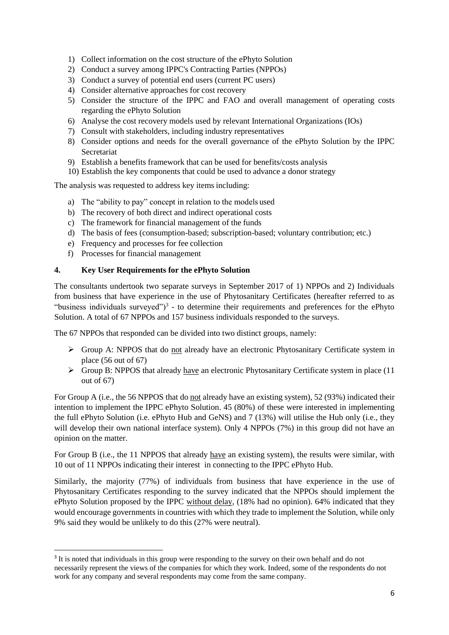- 1) Collect information on the cost structure of the ePhyto Solution
- 2) Conduct a survey among IPPC's Contracting Parties (NPPOs)
- 3) Conduct a survey of potential end users (current PC users)
- 4) Consider alternative approaches for cost recovery
- 5) Consider the structure of the IPPC and FAO and overall management of operating costs regarding the ePhyto Solution
- 6) Analyse the cost recovery models used by relevant International Organizations (IOs)
- 7) Consult with stakeholders, including industry representatives
- 8) Consider options and needs for the overall governance of the ePhyto Solution by the IPPC **Secretariat**
- 9) Establish a benefits framework that can be used for benefits/costs analysis
- 10) Establish the key components that could be used to advance a donor strategy

The analysis was requested to address key items including:

- a) The "ability to pay" concept in relation to the models used
- b) The recovery of both direct and indirect operational costs
- c) The framework for financial management of the funds
- d) The basis of fees (consumption-based; subscription-based; voluntary contribution; etc.)
- e) Frequency and processes for fee collection
- f) Processes for financial management

**.** 

#### **4. Key User Requirements for the ePhyto Solution**

The consultants undertook two separate surveys in September 2017 of 1) NPPOs and 2) Individuals from business that have experience in the use of Phytosanitary Certificates (hereafter referred to as "business individuals surveyed" $)^3$  - to determine their requirements and preferences for the ePhyto Solution. A total of 67 NPPOs and 157 business individuals responded to the surveys.

The 67 NPPOs that responded can be divided into two distinct groups, namely:

- $\triangleright$  Group A: NPPOS that do not already have an electronic Phytosanitary Certificate system in place (56 out of 67)
- $\triangleright$  Group B: NPPOS that already have an electronic Phytosanitary Certificate system in place (11) out of 67)

For Group A (i.e., the 56 NPPOS that do not already have an existing system), 52 (93%) indicated their intention to implement the IPPC ePhyto Solution. 45 (80%) of these were interested in implementing the full ePhyto Solution (i.e. ePhyto Hub and GeNS) and 7 (13%) will utilise the Hub only (i.e., they will develop their own national interface system). Only 4 NPPOs (7%) in this group did not have an opinion on the matter.

For Group B (i.e., the 11 NPPOS that already have an existing system), the results were similar, with 10 out of 11 NPPOs indicating their interest in connecting to the IPPC ePhyto Hub.

Similarly, the majority (77%) of individuals from business that have experience in the use of Phytosanitary Certificates responding to the survey indicated that the NPPOs should implement the ePhyto Solution proposed by the IPPC without delay, (18% had no opinion). 64% indicated that they would encourage governments in countries with which they trade to implement the Solution, while only 9% said they would be unlikely to do this (27% were neutral).

<sup>&</sup>lt;sup>3</sup> It is noted that individuals in this group were responding to the survey on their own behalf and do not necessarily represent the views of the companies for which they work. Indeed, some of the respondents do not work for any company and several respondents may come from the same company.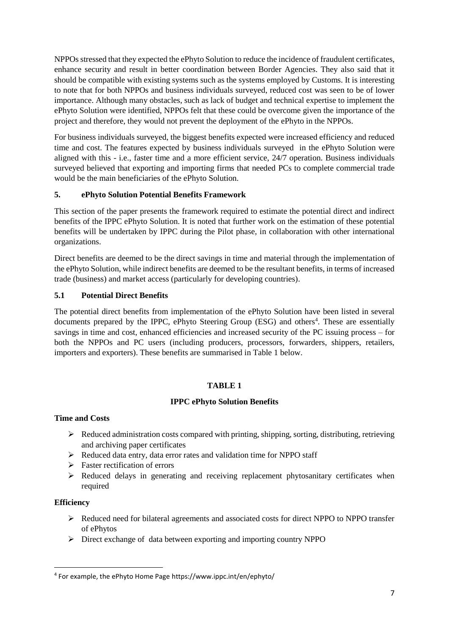NPPOs stressed that they expected the ePhyto Solution to reduce the incidence of fraudulent certificates, enhance security and result in better coordination between Border Agencies. They also said that it should be compatible with existing systems such as the systems employed by Customs. It is interesting to note that for both NPPOs and business individuals surveyed, reduced cost was seen to be of lower importance. Although many obstacles, such as lack of budget and technical expertise to implement the ePhyto Solution were identified, NPPOs felt that these could be overcome given the importance of the project and therefore, they would not prevent the deployment of the ePhyto in the NPPOs.

For business individuals surveyed, the biggest benefits expected were increased efficiency and reduced time and cost. The features expected by business individuals surveyed in the ePhyto Solution were aligned with this - i.e., faster time and a more efficient service, 24/7 operation. Business individuals surveyed believed that exporting and importing firms that needed PCs to complete commercial trade would be the main beneficiaries of the ePhyto Solution.

## **5. ePhyto Solution Potential Benefits Framework**

This section of the paper presents the framework required to estimate the potential direct and indirect benefits of the IPPC ePhyto Solution. It is noted that further work on the estimation of these potential benefits will be undertaken by IPPC during the Pilot phase, in collaboration with other international organizations.

Direct benefits are deemed to be the direct savings in time and material through the implementation of the ePhyto Solution, while indirect benefits are deemed to be the resultant benefits, in terms of increased trade (business) and market access (particularly for developing countries).

## **5.1 Potential Direct Benefits**

The potential direct benefits from implementation of the ePhyto Solution have been listed in several documents prepared by the IPPC, ePhyto Steering Group (ESG) and others<sup>4</sup>. These are essentially savings in time and cost, enhanced efficiencies and increased security of the PC issuing process – for both the NPPOs and PC users (including producers, processors, forwarders, shippers, retailers, importers and exporters). These benefits are summarised in Table 1 below.

# **TABLE 1**

#### **IPPC ePhyto Solution Benefits**

#### **Time and Costs**

- $\triangleright$  Reduced administration costs compared with printing, shipping, sorting, distributing, retrieving and archiving paper certificates
- $\triangleright$  Reduced data entry, data error rates and validation time for NPPO staff
- $\triangleright$  Faster rectification of errors
- $\triangleright$  Reduced delays in generating and receiving replacement phytosanitary certificates when required

#### **Efficiency**

**.** 

- $\triangleright$  Reduced need for bilateral agreements and associated costs for direct NPPO to NPPO transfer of ePhytos
- Direct exchange of data between exporting and importing country NPPO

<sup>4</sup> For example, the ePhyto Home Page https://www.ippc.int/en/ephyto/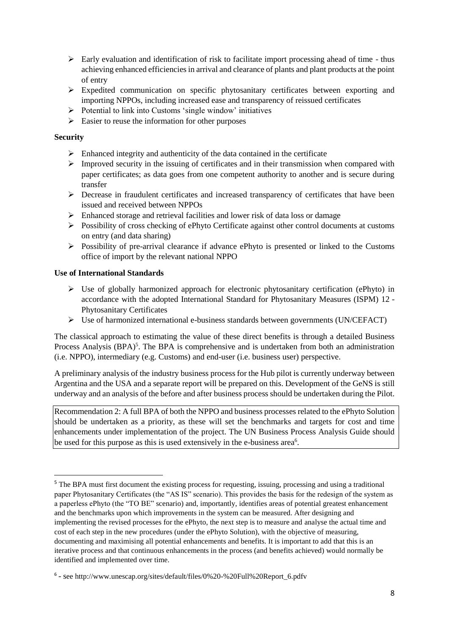- $\triangleright$  Early evaluation and identification of risk to facilitate import processing ahead of time thus achieving enhanced efficiencies in arrival and clearance of plants and plant products at the point of entry
- Expedited communication on specific phytosanitary certificates between exporting and importing NPPOs, including increased ease and transparency of reissued certificates
- $\triangleright$  Potential to link into Customs 'single window' initiatives
- $\triangleright$  Easier to reuse the information for other purposes

#### **Security**

1

- $\triangleright$  Enhanced integrity and authenticity of the data contained in the certificate
- $\triangleright$  Improved security in the issuing of certificates and in their transmission when compared with paper certificates; as data goes from one competent authority to another and is secure during transfer
- $\triangleright$  Decrease in fraudulent certificates and increased transparency of certificates that have been issued and received between NPPOs
- $\triangleright$  Enhanced storage and retrieval facilities and lower risk of data loss or damage
- Possibility of cross checking of ePhyto Certificate against other control documents at customs on entry (and data sharing)
- $\triangleright$  Possibility of pre-arrival clearance if advance ePhyto is presented or linked to the Customs office of import by the relevant national NPPO

#### **Use of International Standards**

- $\triangleright$  Use of globally harmonized approach for electronic phytosanitary certification (ePhyto) in accordance with the adopted International Standard for Phytosanitary Measures (ISPM) 12 - Phytosanitary Certificates
- Use of harmonized international e-business standards between governments (UN/CEFACT)

The classical approach to estimating the value of these direct benefits is through a detailed Business Process Analysis (BPA)<sup>5</sup>. The BPA is comprehensive and is undertaken from both an administration (i.e. NPPO), intermediary (e.g. Customs) and end-user (i.e. business user) perspective.

A preliminary analysis of the industry business process for the Hub pilot is currently underway between Argentina and the USA and a separate report will be prepared on this. Development of the GeNS is still underway and an analysis of the before and after business process should be undertaken during the Pilot.

Recommendation 2: A full BPA of both the NPPO and business processes related to the ePhyto Solution should be undertaken as a priority, as these will set the benchmarks and targets for cost and time enhancements under implementation of the project. The UN Business Process Analysis Guide should be used for this purpose as this is used extensively in the e-business area<sup>6</sup>.

<sup>&</sup>lt;sup>5</sup> The BPA must first document the existing process for requesting, issuing, processing and using a traditional paper Phytosanitary Certificates (the "AS IS" scenario). This provides the basis for the redesign of the system as a paperless ePhyto (the "TO BE" scenario) and, importantly, identifies areas of potential greatest enhancement and the benchmarks upon which improvements in the system can be measured. After designing and implementing the revised processes for the ePhyto, the next step is to measure and analyse the actual time and cost of each step in the new procedures (under the ePhyto Solution), with the objective of measuring, documenting and maximising all potential enhancements and benefits. It is important to add that this is an iterative process and that continuous enhancements in the process (and benefits achieved) would normally be identified and implemented over time.

<sup>6</sup> - see http://www.unescap.org/sites/default/files/0%20-%20Full%20Report\_6.pdfv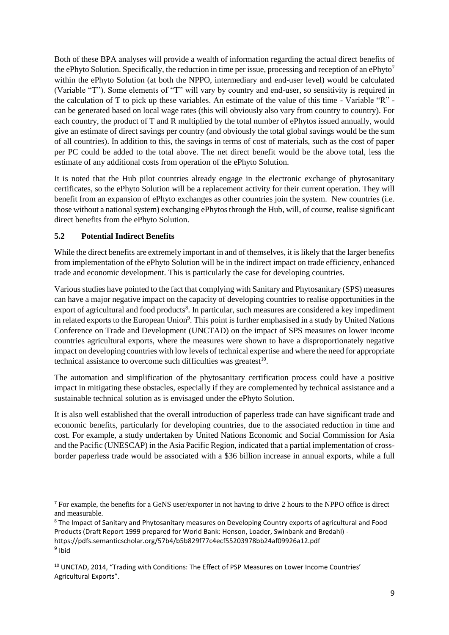Both of these BPA analyses will provide a wealth of information regarding the actual direct benefits of the ePhyto Solution. Specifically, the reduction in time per issue, processing and reception of an ePhyto<sup>7</sup> within the ePhyto Solution (at both the NPPO, intermediary and end-user level) would be calculated (Variable "T"). Some elements of "T" will vary by country and end-user, so sensitivity is required in the calculation of T to pick up these variables. An estimate of the value of this time - Variable "R" can be generated based on local wage rates (this will obviously also vary from country to country). For each country, the product of T and R multiplied by the total number of ePhytos issued annually, would give an estimate of direct savings per country (and obviously the total global savings would be the sum of all countries). In addition to this, the savings in terms of cost of materials, such as the cost of paper per PC could be added to the total above. The net direct benefit would be the above total, less the estimate of any additional costs from operation of the ePhyto Solution.

It is noted that the Hub pilot countries already engage in the electronic exchange of phytosanitary certificates, so the ePhyto Solution will be a replacement activity for their current operation. They will benefit from an expansion of ePhyto exchanges as other countries join the system. New countries (i.e. those without a national system) exchanging ePhytos through the Hub, will, of course, realise significant direct benefits from the ePhyto Solution.

#### **5.2 Potential Indirect Benefits**

 $\overline{a}$ 

While the direct benefits are extremely important in and of themselves, it is likely that the larger benefits from implementation of the ePhyto Solution will be in the indirect impact on trade efficiency, enhanced trade and economic development. This is particularly the case for developing countries.

Various studies have pointed to the fact that complying with Sanitary and Phytosanitary (SPS) measures can have a major negative impact on the capacity of developing countries to realise opportunities in the export of agricultural and food products<sup>8</sup>. In particular, such measures are considered a key impediment in related exports to the European Union<sup>9</sup>. This point is further emphasised in a study by United Nations Conference on Trade and Development (UNCTAD) on the impact of SPS measures on lower income countries agricultural exports, where the measures were shown to have a disproportionately negative impact on developing countries with low levels of technical expertise and where the need for appropriate technical assistance to overcome such difficulties was greatest $10$ .

The automation and simplification of the phytosanitary certification process could have a positive impact in mitigating these obstacles, especially if they are complemented by technical assistance and a sustainable technical solution as is envisaged under the ePhyto Solution.

It is also well established that the overall introduction of paperless trade can have significant trade and economic benefits, particularly for developing countries, due to the associated reduction in time and cost. For example, a study undertaken by United Nations Economic and Social Commission for Asia and the Pacific (UNESCAP) in the Asia Pacific Region, indicated that a partial implementation of crossborder paperless trade would be associated with a \$36 billion increase in annual exports, while a full

<sup>7</sup> For example, the benefits for a GeNS user/exporter in not having to drive 2 hours to the NPPO office is direct and measurable.

<sup>&</sup>lt;sup>8</sup> The Impact of Sanitary and Phytosanitary measures on Developing Country exports of agricultural and Food Products (Draft Report 1999 prepared for World Bank: Henson, Loader, Swinbank and Bredahl) https://pdfs.semanticscholar.org/57b4/b5b829f77c4ecf55203978bb24af09926a12.pdf <sup>9</sup> Ibid

<sup>&</sup>lt;sup>10</sup> UNCTAD, 2014, "Trading with Conditions: The Effect of PSP Measures on Lower Income Countries' Agricultural Exports".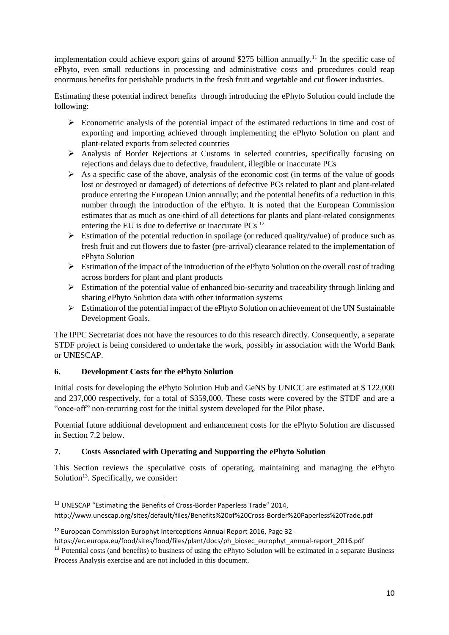implementation could achieve export gains of around \$275 billion annually.<sup>11</sup> In the specific case of ePhyto, even small reductions in processing and administrative costs and procedures could reap enormous benefits for perishable products in the fresh fruit and vegetable and cut flower industries.

Estimating these potential indirect benefits through introducing the ePhyto Solution could include the following:

- $\triangleright$  Econometric analysis of the potential impact of the estimated reductions in time and cost of exporting and importing achieved through implementing the ePhyto Solution on plant and plant-related exports from selected countries
- Analysis of Border Rejections at Customs in selected countries, specifically focusing on rejections and delays due to defective, fraudulent, illegible or inaccurate PCs
- $\triangleright$  As a specific case of the above, analysis of the economic cost (in terms of the value of goods lost or destroyed or damaged) of detections of defective PCs related to plant and plant-related produce entering the European Union annually; and the potential benefits of a reduction in this number through the introduction of the ePhyto. It is noted that the European Commission estimates that as much as one-third of all detections for plants and plant-related consignments entering the EU is due to defective or inaccurate PCs<sup>12</sup>
- $\triangleright$  Estimation of the potential reduction in spoilage (or reduced quality/value) of produce such as fresh fruit and cut flowers due to faster (pre-arrival) clearance related to the implementation of ePhyto Solution
- $\triangleright$  Estimation of the impact of the introduction of the ePhyto Solution on the overall cost of trading across borders for plant and plant products
- $\triangleright$  Estimation of the potential value of enhanced bio-security and traceability through linking and sharing ePhyto Solution data with other information systems
- $\triangleright$  Estimation of the potential impact of the ePhyto Solution on achievement of the UN Sustainable Development Goals.

The IPPC Secretariat does not have the resources to do this research directly. Consequently, a separate STDF project is being considered to undertake the work, possibly in association with the World Bank or UNESCAP.

# **6. Development Costs for the ePhyto Solution**

**.** 

Initial costs for developing the ePhyto Solution Hub and GeNS by UNICC are estimated at \$ 122,000 and 237,000 respectively, for a total of \$359,000. These costs were covered by the STDF and are a "once-off" non-recurring cost for the initial system developed for the Pilot phase.

Potential future additional development and enhancement costs for the ePhyto Solution are discussed in Section 7.2 below.

# **7. Costs Associated with Operating and Supporting the ePhyto Solution**

This Section reviews the speculative costs of operating, maintaining and managing the ePhyto Solution<sup>13</sup>. Specifically, we consider:

http://www.unescap.org/sites/default/files/Benefits%20of%20Cross-Border%20Paperless%20Trade.pdf

<sup>&</sup>lt;sup>11</sup> UNESCAP "Estimating the Benefits of Cross-Border Paperless Trade" 2014,

<sup>&</sup>lt;sup>12</sup> European Commission Europhyt Interceptions Annual Report 2016, Page 32 -

https://ec.europa.eu/food/sites/food/files/plant/docs/ph\_biosec\_europhyt\_annual-report\_2016.pdf

<sup>&</sup>lt;sup>13</sup> Potential costs (and benefits) to business of using the ePhyto Solution will be estimated in a separate Business Process Analysis exercise and are not included in this document.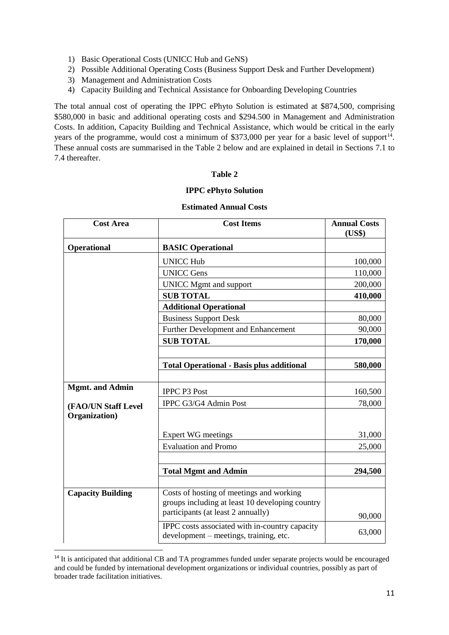- 1) Basic Operational Costs (UNICC Hub and GeNS)
- 2) Possible Additional Operating Costs (Business Support Desk and Further Development)
- 3) Management and Administration Costs
- 4) Capacity Building and Technical Assistance for Onboarding Developing Countries

The total annual cost of operating the IPPC ePhyto Solution is estimated at \$874,500, comprising \$580,000 in basic and additional operating costs and \$294.500 in Management and Administration Costs. In addition, Capacity Building and Technical Assistance, which would be critical in the early years of the programme, would cost a minimum of \$373,000 per year for a basic level of support<sup>14</sup>. These annual costs are summarised in the Table 2 below and are explained in detail in Sections 7.1 to 7.4 thereafter.

#### **Table 2**

#### **IPPC ePhyto Solution**

| <b>Cost Area</b>         | <b>Cost Items</b>                                                                        | <b>Annual Costs</b><br>(US\$) |
|--------------------------|------------------------------------------------------------------------------------------|-------------------------------|
| <b>Operational</b>       | <b>BASIC Operational</b>                                                                 |                               |
|                          | <b>UNICC Hub</b>                                                                         | 100,000                       |
|                          | <b>UNICC Gens</b>                                                                        | 110,000                       |
|                          | <b>UNICC Mgmt and support</b>                                                            | 200,000                       |
|                          | <b>SUB TOTAL</b>                                                                         | 410,000                       |
|                          | <b>Additional Operational</b>                                                            |                               |
|                          | <b>Business Support Desk</b>                                                             | 80,000                        |
|                          | <b>Further Development and Enhancement</b>                                               | 90,000                        |
|                          | <b>SUB TOTAL</b>                                                                         | 170,000                       |
|                          |                                                                                          |                               |
|                          | <b>Total Operational - Basis plus additional</b>                                         | 580,000                       |
|                          |                                                                                          |                               |
| <b>Mgmt.</b> and Admin   | <b>IPPC P3 Post</b>                                                                      | 160,500                       |
| (FAO/UN Staff Level      | IPPC G3/G4 Admin Post                                                                    | 78,000                        |
| Organization)            |                                                                                          |                               |
|                          | <b>Expert WG meetings</b>                                                                | 31,000                        |
|                          | <b>Evaluation and Promo</b>                                                              | 25,000                        |
|                          |                                                                                          |                               |
|                          | <b>Total Mgmt and Admin</b>                                                              | 294,500                       |
|                          |                                                                                          |                               |
| <b>Capacity Building</b> | Costs of hosting of meetings and working                                                 |                               |
|                          | groups including at least 10 developing country                                          |                               |
|                          | participants (at least 2 annually)                                                       | 90,000                        |
|                          | IPPC costs associated with in-country capacity<br>development – meetings, training, etc. | 63,000                        |

#### **Estimated Annual Costs**

**.** 

<sup>&</sup>lt;sup>14</sup> It is anticipated that additional CB and TA programmes funded under separate projects would be encouraged and could be funded by international development organizations or individual countries, possibly as part of broader trade facilitation initiatives.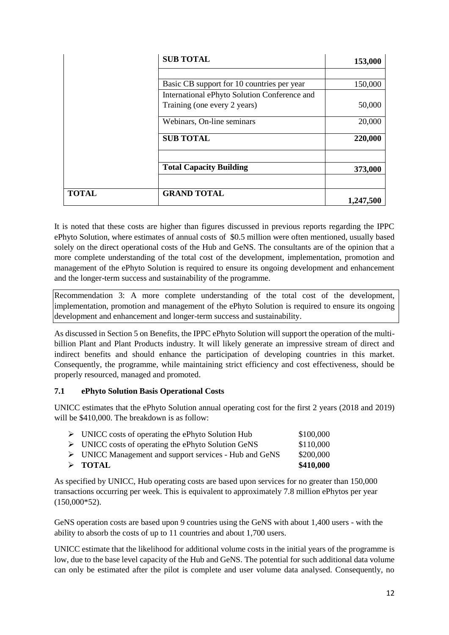|              | <b>SUB TOTAL</b>                             | 153,000   |
|--------------|----------------------------------------------|-----------|
|              |                                              |           |
|              | Basic CB support for 10 countries per year   | 150,000   |
|              | International ePhyto Solution Conference and |           |
|              | Training (one every 2 years)                 | 50,000    |
|              | Webinars, On-line seminars                   | 20,000    |
|              | <b>SUB TOTAL</b>                             | 220,000   |
|              | <b>Total Capacity Building</b>               | 373,000   |
| <b>TOTAL</b> | <b>GRAND TOTAL</b>                           | 1,247,500 |

It is noted that these costs are higher than figures discussed in previous reports regarding the IPPC ePhyto Solution, where estimates of annual costs of \$0.5 million were often mentioned, usually based solely on the direct operational costs of the Hub and GeNS. The consultants are of the opinion that a more complete understanding of the total cost of the development, implementation, promotion and management of the ePhyto Solution is required to ensure its ongoing development and enhancement and the longer-term success and sustainability of the programme.

Recommendation 3: A more complete understanding of the total cost of the development, implementation, promotion and management of the ePhyto Solution is required to ensure its ongoing development and enhancement and longer-term success and sustainability.

As discussed in Section 5 on Benefits, the IPPC ePhyto Solution will support the operation of the multibillion Plant and Plant Products industry. It will likely generate an impressive stream of direct and indirect benefits and should enhance the participation of developing countries in this market. Consequently, the programme, while maintaining strict efficiency and cost effectiveness, should be properly resourced, managed and promoted.

# **7.1 ePhyto Solution Basis Operational Costs**

UNICC estimates that the ePhyto Solution annual operating cost for the first 2 years (2018 and 2019) will be \$410,000. The breakdown is as follow:

| $\triangleright$ TOTAL                                                | \$410,000 |
|-----------------------------------------------------------------------|-----------|
| $\triangleright$ UNICC Management and support services - Hub and GeNS | \$200,000 |
| $\triangleright$ UNICC costs of operating the ePhyto Solution GeNS    | \$110,000 |
| $\triangleright$ UNICC costs of operating the ePhyto Solution Hub     | \$100,000 |

As specified by UNICC, Hub operating costs are based upon services for no greater than 150,000 transactions occurring per week. This is equivalent to approximately 7.8 million ePhytos per year (150,000\*52).

GeNS operation costs are based upon 9 countries using the GeNS with about 1,400 users - with the ability to absorb the costs of up to 11 countries and about 1,700 users.

UNICC estimate that the likelihood for additional volume costs in the initial years of the programme is low, due to the base level capacity of the Hub and GeNS. The potential for such additional data volume can only be estimated after the pilot is complete and user volume data analysed. Consequently, no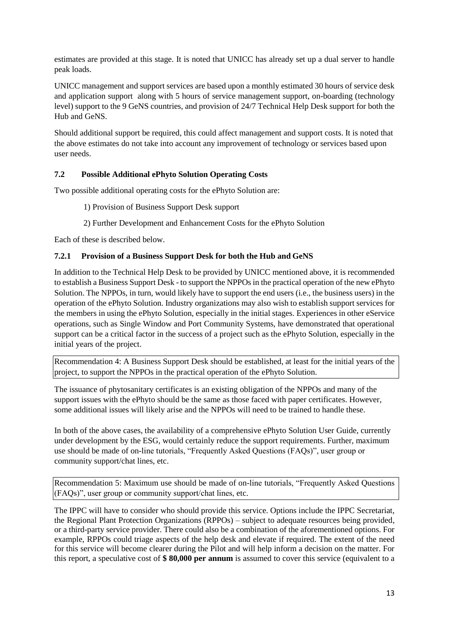estimates are provided at this stage. It is noted that UNICC has already set up a dual server to handle peak loads.

UNICC management and support services are based upon a monthly estimated 30 hours of service desk and application support along with 5 hours of service management support, on-boarding (technology level) support to the 9 GeNS countries, and provision of 24/7 Technical Help Desk support for both the Hub and GeNS.

Should additional support be required, this could affect management and support costs. It is noted that the above estimates do not take into account any improvement of technology or services based upon user needs.

## **7.2 Possible Additional ePhyto Solution Operating Costs**

Two possible additional operating costs for the ePhyto Solution are:

- 1) Provision of Business Support Desk support
- 2) Further Development and Enhancement Costs for the ePhyto Solution

Each of these is described below.

#### **7.2.1 Provision of a Business Support Desk for both the Hub and GeNS**

In addition to the Technical Help Desk to be provided by UNICC mentioned above, it is recommended to establish a Business Support Desk - to support the NPPOs in the practical operation of the new ePhyto Solution. The NPPOs, in turn, would likely have to support the end users (i.e., the business users) in the operation of the ePhyto Solution. Industry organizations may also wish to establish support services for the members in using the ePhyto Solution, especially in the initial stages. Experiences in other eService operations, such as Single Window and Port Community Systems, have demonstrated that operational support can be a critical factor in the success of a project such as the ePhyto Solution, especially in the initial years of the project.

Recommendation 4: A Business Support Desk should be established, at least for the initial years of the project, to support the NPPOs in the practical operation of the ePhyto Solution.

The issuance of phytosanitary certificates is an existing obligation of the NPPOs and many of the support issues with the ePhyto should be the same as those faced with paper certificates. However, some additional issues will likely arise and the NPPOs will need to be trained to handle these.

In both of the above cases, the availability of a comprehensive ePhyto Solution User Guide, currently under development by the ESG, would certainly reduce the support requirements. Further, maximum use should be made of on-line tutorials, "Frequently Asked Questions (FAQs)", user group or community support/chat lines, etc.

Recommendation 5: Maximum use should be made of on-line tutorials, "Frequently Asked Questions (FAQs)", user group or community support/chat lines, etc.

The IPPC will have to consider who should provide this service. Options include the IPPC Secretariat, the Regional Plant Protection Organizations (RPPOs) – subject to adequate resources being provided, or a third-party service provider. There could also be a combination of the aforementioned options. For example, RPPOs could triage aspects of the help desk and elevate if required. The extent of the need for this service will become clearer during the Pilot and will help inform a decision on the matter. For this report, a speculative cost of **\$ 80,000 per annum** is assumed to cover this service (equivalent to a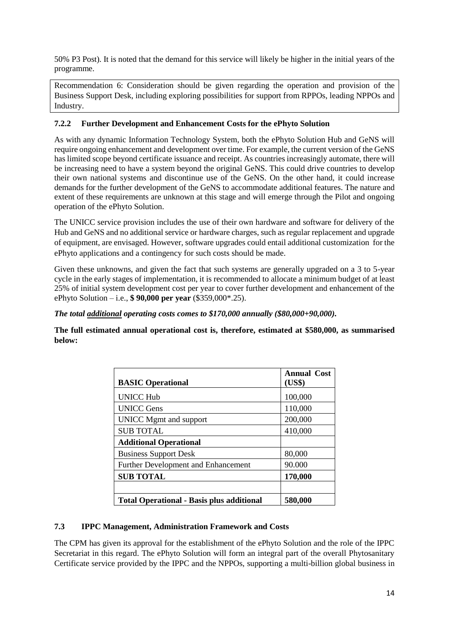50% P3 Post). It is noted that the demand for this service will likely be higher in the initial years of the programme.

Recommendation 6: Consideration should be given regarding the operation and provision of the Business Support Desk, including exploring possibilities for support from RPPOs, leading NPPOs and Industry.

## **7.2.2 Further Development and Enhancement Costs for the ePhyto Solution**

As with any dynamic Information Technology System, both the ePhyto Solution Hub and GeNS will require ongoing enhancement and development over time. For example, the current version of the GeNS has limited scope beyond certificate issuance and receipt. As countries increasingly automate, there will be increasing need to have a system beyond the original GeNS. This could drive countries to develop their own national systems and discontinue use of the GeNS. On the other hand, it could increase demands for the further development of the GeNS to accommodate additional features. The nature and extent of these requirements are unknown at this stage and will emerge through the Pilot and ongoing operation of the ePhyto Solution.

The UNICC service provision includes the use of their own hardware and software for delivery of the Hub and GeNS and no additional service or hardware charges, such as regular replacement and upgrade of equipment, are envisaged. However, software upgrades could entail additional customization for the ePhyto applications and a contingency for such costs should be made.

Given these unknowns, and given the fact that such systems are generally upgraded on a 3 to 5-year cycle in the early stages of implementation, it is recommended to allocate a minimum budget of at least 25% of initial system development cost per year to cover further development and enhancement of the ePhyto Solution – i.e., **\$ 90,000 per year** (\$359,000\*.25).

#### *The total additional operating costs comes to \$170,000 annually (\$80,000+90,000).*

**The full estimated annual operational cost is, therefore, estimated at \$580,000, as summarised below:**

| <b>BASIC Operational</b>                         | <b>Annual Cost</b><br>(US\$) |
|--------------------------------------------------|------------------------------|
| <b>UNICC Hub</b>                                 | 100,000                      |
| <b>UNICC Gens</b>                                | 110,000                      |
| UNICC Mgmt and support                           | 200,000                      |
| <b>SUB TOTAL</b>                                 | 410,000                      |
| <b>Additional Operational</b>                    |                              |
| <b>Business Support Desk</b>                     | 80,000                       |
| Further Development and Enhancement              | 90.000                       |
| <b>SUB TOTAL</b>                                 | 170,000                      |
|                                                  |                              |
| <b>Total Operational - Basis plus additional</b> | 580,000                      |

#### **7.3 IPPC Management, Administration Framework and Costs**

The CPM has given its approval for the establishment of the ePhyto Solution and the role of the IPPC Secretariat in this regard. The ePhyto Solution will form an integral part of the overall Phytosanitary Certificate service provided by the IPPC and the NPPOs, supporting a multi-billion global business in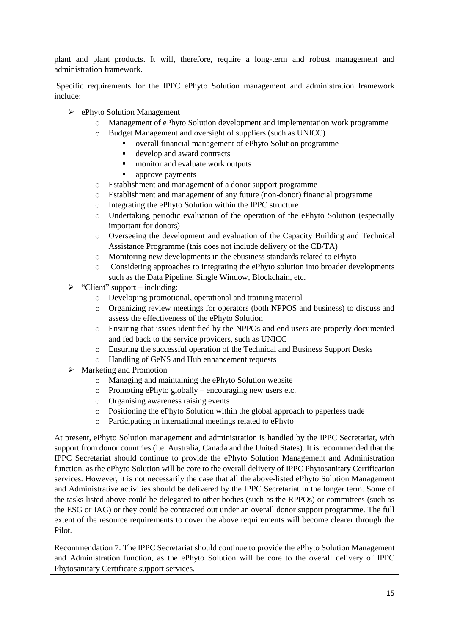plant and plant products. It will, therefore, require a long-term and robust management and administration framework.

Specific requirements for the IPPC ePhyto Solution management and administration framework include:

- ePhyto Solution Management
	- Management of ePhyto Solution development and implementation work programme
	- Budget Management and oversight of suppliers (such as UNICC)
		- overall financial management of ePhyto Solution programme
		- develop and award contracts
		- monitor and evaluate work outputs
		- **approve payments**
	- o Establishment and management of a donor support programme
	- o Establishment and management of any future (non-donor) financial programme
	- o Integrating the ePhyto Solution within the IPPC structure
	- o Undertaking periodic evaluation of the operation of the ePhyto Solution (especially important for donors)
	- o Overseeing the development and evaluation of the Capacity Building and Technical Assistance Programme (this does not include delivery of the CB/TA)
	- o Monitoring new developments in the ebusiness standards related to ePhyto
	- o Considering approaches to integrating the ePhyto solution into broader developments such as the Data Pipeline, Single Window, Blockchain, etc.
- $\triangleright$  "Client" support including:
	- o Developing promotional, operational and training material
	- o Organizing review meetings for operators (both NPPOS and business) to discuss and assess the effectiveness of the ePhyto Solution
	- o Ensuring that issues identified by the NPPOs and end users are properly documented and fed back to the service providers, such as UNICC
	- o Ensuring the successful operation of the Technical and Business Support Desks
	- o Handling of GeNS and Hub enhancement requests
- $\triangleright$  Marketing and Promotion
	- o Managing and maintaining the ePhyto Solution website
	- o Promoting ePhyto globally encouraging new users etc.
	- o Organising awareness raising events
	- o Positioning the ePhyto Solution within the global approach to paperless trade
	- o Participating in international meetings related to ePhyto

At present, ePhyto Solution management and administration is handled by the IPPC Secretariat, with support from donor countries (i.e. Australia, Canada and the United States). It is recommended that the IPPC Secretariat should continue to provide the ePhyto Solution Management and Administration function, as the ePhyto Solution will be core to the overall delivery of IPPC Phytosanitary Certification services. However, it is not necessarily the case that all the above-listed ePhyto Solution Management and Administrative activities should be delivered by the IPPC Secretariat in the longer term. Some of the tasks listed above could be delegated to other bodies (such as the RPPOs) or committees (such as the ESG or IAG) or they could be contracted out under an overall donor support programme. The full extent of the resource requirements to cover the above requirements will become clearer through the Pilot.

Recommendation 7: The IPPC Secretariat should continue to provide the ePhyto Solution Management and Administration function, as the ePhyto Solution will be core to the overall delivery of IPPC Phytosanitary Certificate support services.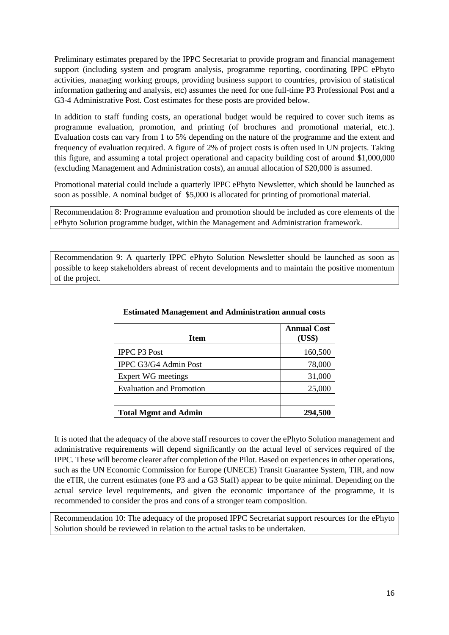Preliminary estimates prepared by the IPPC Secretariat to provide program and financial management support (including system and program analysis, programme reporting, coordinating IPPC ePhyto activities, managing working groups, providing business support to countries, provision of statistical information gathering and analysis, etc) assumes the need for one full-time P3 Professional Post and a G3-4 Administrative Post. Cost estimates for these posts are provided below.

In addition to staff funding costs, an operational budget would be required to cover such items as programme evaluation, promotion, and printing (of brochures and promotional material, etc.). Evaluation costs can vary from 1 to 5% depending on the nature of the programme and the extent and frequency of evaluation required. A figure of 2% of project costs is often used in UN projects. Taking this figure, and assuming a total project operational and capacity building cost of around \$1,000,000 (excluding Management and Administration costs), an annual allocation of \$20,000 is assumed.

Promotional material could include a quarterly IPPC ePhyto Newsletter, which should be launched as soon as possible. A nominal budget of \$5,000 is allocated for printing of promotional material.

Recommendation 8: Programme evaluation and promotion should be included as core elements of the ePhyto Solution programme budget, within the Management and Administration framework.

Recommendation 9: A quarterly IPPC ePhyto Solution Newsletter should be launched as soon as possible to keep stakeholders abreast of recent developments and to maintain the positive momentum of the project.

| <b>Item</b>                     | <b>Annual Cost</b><br>(US\$) |
|---------------------------------|------------------------------|
| <b>IPPC P3 Post</b>             | 160,500                      |
| IPPC G3/G4 Admin Post           | 78,000                       |
| <b>Expert WG meetings</b>       | 31,000                       |
| <b>Evaluation and Promotion</b> | 25,000                       |
|                                 |                              |
| <b>Total Mgmt and Admin</b>     | 294.500                      |

#### **Estimated Management and Administration annual costs**

It is noted that the adequacy of the above staff resources to cover the ePhyto Solution management and administrative requirements will depend significantly on the actual level of services required of the IPPC. These will become clearer after completion of the Pilot. Based on experiences in other operations, such as the UN Economic Commission for Europe (UNECE) Transit Guarantee System, TIR, and now the eTIR, the current estimates (one P3 and a G3 Staff) appear to be quite minimal. Depending on the actual service level requirements, and given the economic importance of the programme, it is recommended to consider the pros and cons of a stronger team composition.

Recommendation 10: The adequacy of the proposed IPPC Secretariat support resources for the ePhyto Solution should be reviewed in relation to the actual tasks to be undertaken.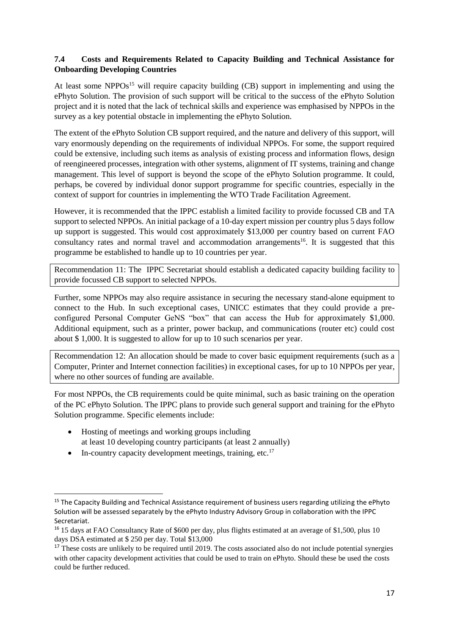## **7.4 Costs and Requirements Related to Capacity Building and Technical Assistance for Onboarding Developing Countries**

At least some NPPOs<sup>15</sup> will require capacity building (CB) support in implementing and using the ePhyto Solution. The provision of such support will be critical to the success of the ePhyto Solution project and it is noted that the lack of technical skills and experience was emphasised by NPPOs in the survey as a key potential obstacle in implementing the ePhyto Solution.

The extent of the ePhyto Solution CB support required, and the nature and delivery of this support, will vary enormously depending on the requirements of individual NPPOs. For some, the support required could be extensive, including such items as analysis of existing process and information flows, design of reengineered processes, integration with other systems, alignment of IT systems, training and change management. This level of support is beyond the scope of the ePhyto Solution programme. It could, perhaps, be covered by individual donor support programme for specific countries, especially in the context of support for countries in implementing the WTO Trade Facilitation Agreement.

However, it is recommended that the IPPC establish a limited facility to provide focussed CB and TA support to selected NPPOs. An initial package of a 10-day expert mission per country plus 5 days follow up support is suggested. This would cost approximately \$13,000 per country based on current FAO consultancy rates and normal travel and accommodation arrangements<sup>16</sup>. It is suggested that this programme be established to handle up to 10 countries per year.

Recommendation 11: The IPPC Secretariat should establish a dedicated capacity building facility to provide focussed CB support to selected NPPOs.

Further, some NPPOs may also require assistance in securing the necessary stand-alone equipment to connect to the Hub. In such exceptional cases, UNICC estimates that they could provide a preconfigured Personal Computer GeNS "box" that can access the Hub for approximately \$1,000. Additional equipment, such as a printer, power backup, and communications (router etc) could cost about \$ 1,000. It is suggested to allow for up to 10 such scenarios per year.

Recommendation 12: An allocation should be made to cover basic equipment requirements (such as a Computer, Printer and Internet connection facilities) in exceptional cases, for up to 10 NPPOs per year, where no other sources of funding are available.

For most NPPOs, the CB requirements could be quite minimal, such as basic training on the operation of the PC ePhyto Solution. The IPPC plans to provide such general support and training for the ePhyto Solution programme. Specific elements include:

- Hosting of meetings and working groups including at least 10 developing country participants (at least 2 annually)
- In-country capacity development meetings, training, etc.<sup>17</sup>

1

<sup>&</sup>lt;sup>15</sup> The Capacity Building and Technical Assistance requirement of business users regarding utilizing the ePhyto Solution will be assessed separately by the ePhyto Industry Advisory Group in collaboration with the IPPC Secretariat.

<sup>&</sup>lt;sup>16</sup> 15 days at FAO Consultancy Rate of \$600 per day, plus flights estimated at an average of \$1,500, plus 10 days DSA estimated at \$ 250 per day. Total \$13,000

<sup>&</sup>lt;sup>17</sup> These costs are unlikely to be required until 2019. The costs associated also do not include potential synergies with other capacity development activities that could be used to train on ePhyto. Should these be used the costs could be further reduced.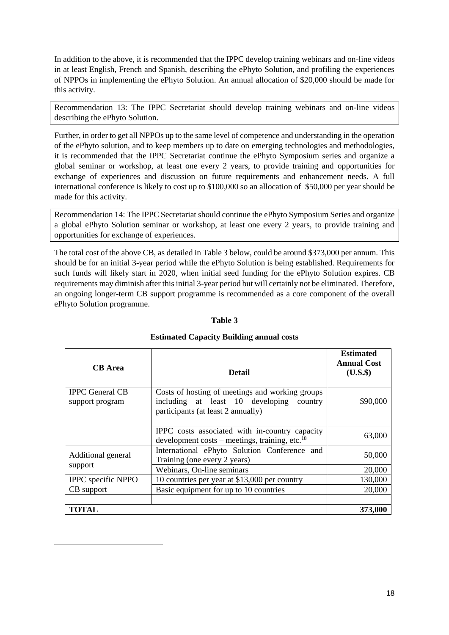In addition to the above, it is recommended that the IPPC develop training webinars and on-line videos in at least English, French and Spanish, describing the ePhyto Solution, and profiling the experiences of NPPOs in implementing the ePhyto Solution. An annual allocation of \$20,000 should be made for this activity.

Recommendation 13: The IPPC Secretariat should develop training webinars and on-line videos describing the ePhyto Solution.

Further, in order to get all NPPOs up to the same level of competence and understanding in the operation of the ePhyto solution, and to keep members up to date on emerging technologies and methodologies, it is recommended that the IPPC Secretariat continue the ePhyto Symposium series and organize a global seminar or workshop, at least one every 2 years, to provide training and opportunities for exchange of experiences and discussion on future requirements and enhancement needs. A full international conference is likely to cost up to \$100,000 so an allocation of \$50,000 per year should be made for this activity.

Recommendation 14: The IPPC Secretariat should continue the ePhyto Symposium Series and organize a global ePhyto Solution seminar or workshop, at least one every 2 years, to provide training and opportunities for exchange of experiences.

The total cost of the above CB, as detailed in Table 3 below, could be around \$373,000 per annum. This should be for an initial 3-year period while the ePhyto Solution is being established. Requirements for such funds will likely start in 2020, when initial seed funding for the ePhyto Solution expires. CB requirements may diminish after this initial 3-year period but will certainly not be eliminated. Therefore, an ongoing longer-term CB support programme is recommended as a core component of the overall ePhyto Solution programme.

| <b>CB</b> Area                            | <b>Detail</b>                                                                                                                     | <b>Estimated</b><br><b>Annual Cost</b><br>$(U.S.$ \$ |
|-------------------------------------------|-----------------------------------------------------------------------------------------------------------------------------------|------------------------------------------------------|
| <b>IPPC</b> General CB<br>support program | Costs of hosting of meetings and working groups<br>including at least 10 developing country<br>participants (at least 2 annually) | \$90,000                                             |
|                                           | IPPC costs associated with in-country capacity<br>development costs – meetings, training, etc. $^{18}$                            | 63,000                                               |
| Additional general                        | International ePhyto Solution Conference and<br>Training (one every 2 years)                                                      | 50,000                                               |
| support                                   | Webinars, On-line seminars                                                                                                        | 20,000                                               |
| IPPC specific NPPO                        | 10 countries per year at \$13,000 per country                                                                                     | 130,000                                              |
| CB support                                | Basic equipment for up to 10 countries                                                                                            | 20,000                                               |
|                                           |                                                                                                                                   |                                                      |
| <b>TOTAL</b>                              |                                                                                                                                   | 373,000                                              |

**.** 

#### **Table 3**

#### **Estimated Capacity Building annual costs**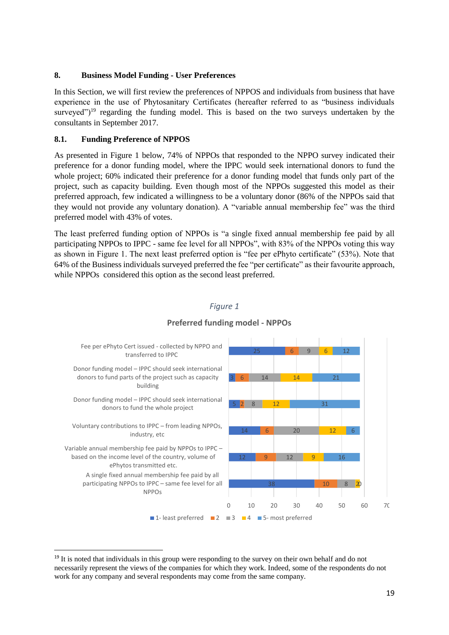#### **8. Business Model Funding - User Preferences**

In this Section, we will first review the preferences of NPPOS and individuals from business that have experience in the use of Phytosanitary Certificates (hereafter referred to as "business individuals surveyed")<sup>19</sup> regarding the funding model. This is based on the two surveys undertaken by the consultants in September 2017.

#### **8.1. Funding Preference of NPPOS**

**.** 

As presented in Figure 1 below, 74% of NPPOs that responded to the NPPO survey indicated their preference for a donor funding model, where the IPPC would seek international donors to fund the whole project; 60% indicated their preference for a donor funding model that funds only part of the project, such as capacity building. Even though most of the NPPOs suggested this model as their preferred approach, few indicated a willingness to be a voluntary donor (86% of the NPPOs said that they would not provide any voluntary donation). A "variable annual membership fee" was the third preferred model with 43% of votes.

The least preferred funding option of NPPOs is "a single fixed annual membership fee paid by all participating NPPOs to IPPC - same fee level for all NPPOs", with 83% of the NPPOs voting this way as shown in Figure 1. The next least preferred option is "fee per ePhyto certificate" (53%). Note that 64% of the Business individuals surveyed preferred the fee "per certificate" as their favourite approach, while NPPOs considered this option as the second least preferred.

# *Figure 1*



#### **Preferred funding model - NPPOs**

<sup>&</sup>lt;sup>19</sup> It is noted that individuals in this group were responding to the survey on their own behalf and do not necessarily represent the views of the companies for which they work. Indeed, some of the respondents do not work for any company and several respondents may come from the same company.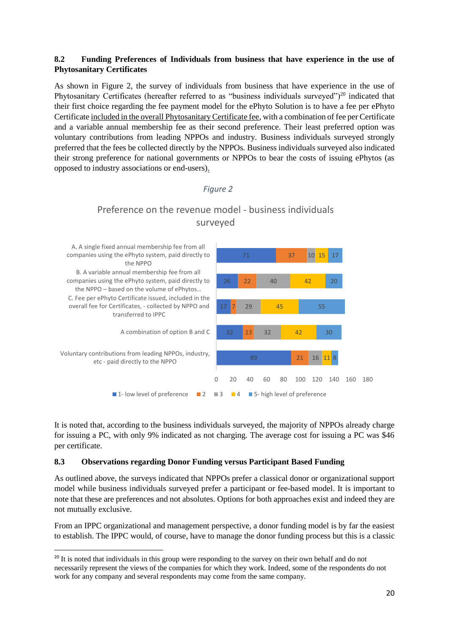#### **8.2 Funding Preferences of Individuals from business that have experience in the use of Phytosanitary Certificates**

As shown in Figure 2, the survey of individuals from business that have experience in the use of Phytosanitary Certificates (hereafter referred to as "business individuals surveyed")<sup>20</sup> indicated that their first choice regarding the fee payment model for the ePhyto Solution is to have a fee per ePhyto Certificate included in the overall Phytosanitary Certificate fee, with a combination of fee per Certificate and a variable annual membership fee as their second preference. Their least preferred option was voluntary contributions from leading NPPOs and industry. Business individuals surveyed strongly preferred that the fees be collected directly by the NPPOs. Business individuals surveyed also indicated their strong preference for national governments or NPPOs to bear the costs of issuing ePhytos (as opposed to industry associations or end-users).

#### *Figure 2*



# Preference on the revenue model - business individuals surveyed

It is noted that, according to the business individuals surveyed, the majority of NPPOs already charge for issuing a PC, with only 9% indicated as not charging. The average cost for issuing a PC was \$46 per certificate.

#### **8.3 Observations regarding Donor Funding versus Participant Based Funding**

**.** 

As outlined above, the surveys indicated that NPPOs prefer a classical donor or organizational support model while business individuals surveyed prefer a participant or fee-based model. It is important to note that these are preferences and not absolutes. Options for both approaches exist and indeed they are not mutually exclusive.

From an IPPC organizational and management perspective, a donor funding model is by far the easiest to establish. The IPPC would, of course, have to manage the donor funding process but this is a classic

<sup>&</sup>lt;sup>20</sup> It is noted that individuals in this group were responding to the survey on their own behalf and do not necessarily represent the views of the companies for which they work. Indeed, some of the respondents do not work for any company and several respondents may come from the same company.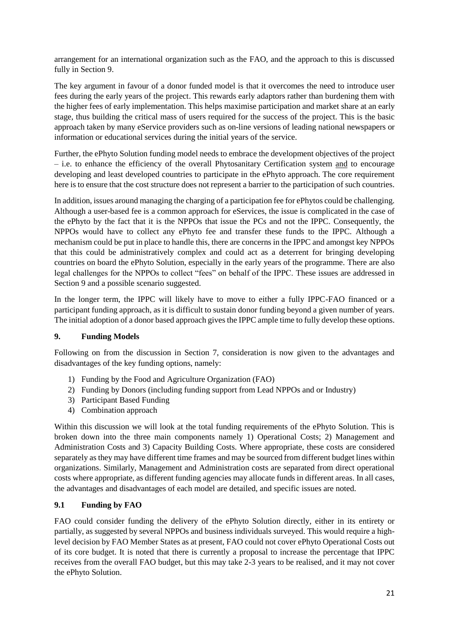arrangement for an international organization such as the FAO, and the approach to this is discussed fully in Section 9.

The key argument in favour of a donor funded model is that it overcomes the need to introduce user fees during the early years of the project. This rewards early adaptors rather than burdening them with the higher fees of early implementation. This helps maximise participation and market share at an early stage, thus building the critical mass of users required for the success of the project. This is the basic approach taken by many eService providers such as on-line versions of leading national newspapers or information or educational services during the initial years of the service.

Further, the ePhyto Solution funding model needs to embrace the development objectives of the project – i.e. to enhance the efficiency of the overall Phytosanitary Certification system and to encourage developing and least developed countries to participate in the ePhyto approach. The core requirement here is to ensure that the cost structure does not represent a barrier to the participation of such countries.

In addition, issues around managing the charging of a participation fee for ePhytos could be challenging. Although a user-based fee is a common approach for eServices, the issue is complicated in the case of the ePhyto by the fact that it is the NPPOs that issue the PCs and not the IPPC. Consequently, the NPPOs would have to collect any ePhyto fee and transfer these funds to the IPPC. Although a mechanism could be put in place to handle this, there are concerns in the IPPC and amongst key NPPOs that this could be administratively complex and could act as a deterrent for bringing developing countries on board the ePhyto Solution, especially in the early years of the programme. There are also legal challenges for the NPPOs to collect "fees" on behalf of the IPPC. These issues are addressed in Section 9 and a possible scenario suggested.

In the longer term, the IPPC will likely have to move to either a fully IPPC-FAO financed or a participant funding approach, as it is difficult to sustain donor funding beyond a given number of years. The initial adoption of a donor based approach gives the IPPC ample time to fully develop these options.

#### **9. Funding Models**

Following on from the discussion in Section 7, consideration is now given to the advantages and disadvantages of the key funding options, namely:

- 1) Funding by the Food and Agriculture Organization (FAO)
- 2) Funding by Donors (including funding support from Lead NPPOs and or Industry)
- 3) Participant Based Funding
- 4) Combination approach

Within this discussion we will look at the total funding requirements of the ePhyto Solution. This is broken down into the three main components namely 1) Operational Costs; 2) Management and Administration Costs and 3) Capacity Building Costs. Where appropriate, these costs are considered separately as they may have different time frames and may be sourced from different budget lines within organizations. Similarly, Management and Administration costs are separated from direct operational costs where appropriate, as different funding agencies may allocate funds in different areas. In all cases, the advantages and disadvantages of each model are detailed, and specific issues are noted.

#### **9.1 Funding by FAO**

FAO could consider funding the delivery of the ePhyto Solution directly, either in its entirety or partially, as suggested by several NPPOs and business individuals surveyed. This would require a highlevel decision by FAO Member States as at present, FAO could not cover ePhyto Operational Costs out of its core budget. It is noted that there is currently a proposal to increase the percentage that IPPC receives from the overall FAO budget, but this may take 2-3 years to be realised, and it may not cover the ePhyto Solution.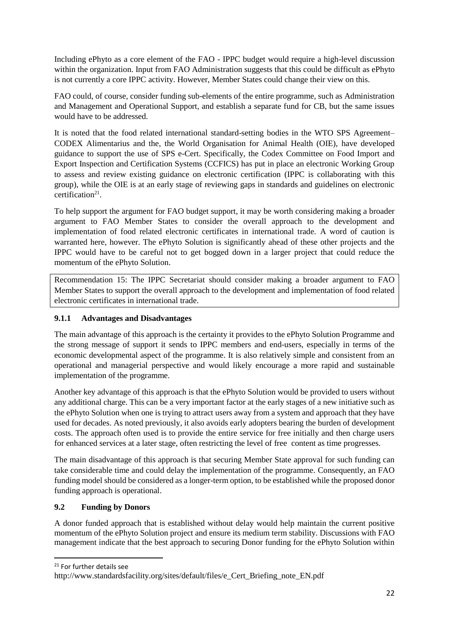Including ePhyto as a core element of the FAO - IPPC budget would require a high-level discussion within the organization. Input from FAO Administration suggests that this could be difficult as ePhyto is not currently a core IPPC activity. However, Member States could change their view on this.

FAO could, of course, consider funding sub-elements of the entire programme, such as Administration and Management and Operational Support, and establish a separate fund for CB, but the same issues would have to be addressed.

It is noted that the food related international standard-setting bodies in the WTO SPS Agreement– CODEX Alimentarius and the, the World Organisation for Animal Health (OIE), have developed guidance to support the use of SPS e-Cert. Specifically, the Codex Committee on Food Import and Export Inspection and Certification Systems (CCFICS) has put in place an electronic Working Group to assess and review existing guidance on electronic certification (IPPC is collaborating with this group), while the OIE is at an early stage of reviewing gaps in standards and guidelines on electronic certification<sup>21</sup>.

To help support the argument for FAO budget support, it may be worth considering making a broader argument to FAO Member States to consider the overall approach to the development and implementation of food related electronic certificates in international trade. A word of caution is warranted here, however. The ePhyto Solution is significantly ahead of these other projects and the IPPC would have to be careful not to get bogged down in a larger project that could reduce the momentum of the ePhyto Solution.

Recommendation 15: The IPPC Secretariat should consider making a broader argument to FAO Member States to support the overall approach to the development and implementation of food related electronic certificates in international trade.

# **9.1.1 Advantages and Disadvantages**

The main advantage of this approach is the certainty it provides to the ePhyto Solution Programme and the strong message of support it sends to IPPC members and end-users, especially in terms of the economic developmental aspect of the programme. It is also relatively simple and consistent from an operational and managerial perspective and would likely encourage a more rapid and sustainable implementation of the programme.

Another key advantage of this approach is that the ePhyto Solution would be provided to users without any additional charge. This can be a very important factor at the early stages of a new initiative such as the ePhyto Solution when one is trying to attract users away from a system and approach that they have used for decades. As noted previously, it also avoids early adopters bearing the burden of development costs. The approach often used is to provide the entire service for free initially and then charge users for enhanced services at a later stage, often restricting the level of free content as time progresses.

The main disadvantage of this approach is that securing Member State approval for such funding can take considerable time and could delay the implementation of the programme. Consequently, an FAO funding model should be considered as a longer-term option, to be established while the proposed donor funding approach is operational.

#### **9.2 Funding by Donors**

A donor funded approach that is established without delay would help maintain the current positive momentum of the ePhyto Solution project and ensure its medium term stability. Discussions with FAO management indicate that the best approach to securing Donor funding for the ePhyto Solution within

<sup>21</sup> For further details see

 $\overline{a}$ 

http://www.standardsfacility.org/sites/default/files/e\_Cert\_Briefing\_note\_EN.pdf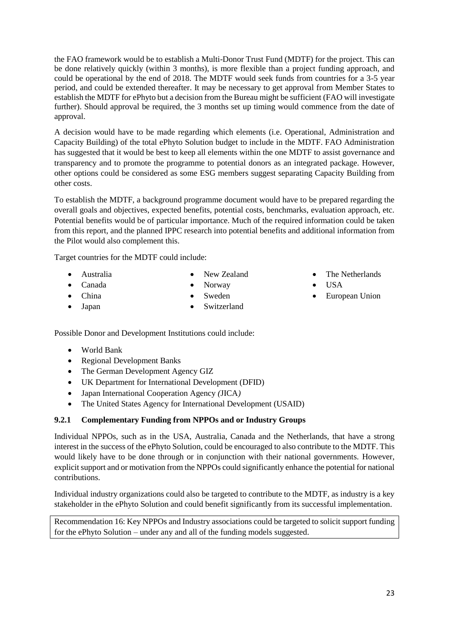23

the FAO framework would be to establish a Multi-Donor Trust Fund (MDTF) for the project. This can be done relatively quickly (within 3 months), is more flexible than a project funding approach, and could be operational by the end of 2018. The MDTF would seek funds from countries for a 3-5 year period, and could be extended thereafter. It may be necessary to get approval from Member States to establish the MDTF for ePhyto but a decision from the Bureau might be sufficient (FAO will investigate further). Should approval be required, the 3 months set up timing would commence from the date of approval.

A decision would have to be made regarding which elements (i.e. Operational, Administration and Capacity Building) of the total ePhyto Solution budget to include in the MDTF. FAO Administration has suggested that it would be best to keep all elements within the one MDTF to assist governance and transparency and to promote the programme to potential donors as an integrated package. However, other options could be considered as some ESG members suggest separating Capacity Building from other costs.

To establish the MDTF, a background programme document would have to be prepared regarding the overall goals and objectives, expected benefits, potential costs, benchmarks, evaluation approach, etc. Potential benefits would be of particular importance. Much of the required information could be taken from this report, and the planned IPPC research into potential benefits and additional information from the Pilot would also complement this.

Target countries for the MDTF could include:

- Australia
- Canada • China

Japan

- New Zealand Norway
- Sweden
- - Switzerland
- The Netherlands
- USA
- European Union

Possible Donor and Development Institutions could include:

- World Bank
- Regional Development Banks
- The German Development Agency GIZ
- UK Department for International Development (DFID)
- Japan International Cooperation Agency *(*JICA*)*
- The United States Agency for International Development (USAID)

# **9.2.1 Complementary Funding from NPPOs and or Industry Groups**

Individual NPPOs, such as in the USA, Australia, Canada and the Netherlands, that have a strong interest in the success of the ePhyto Solution, could be encouraged to also contribute to the MDTF. This would likely have to be done through or in conjunction with their national governments. However, explicit support and or motivation from the NPPOs could significantly enhance the potential for national contributions.

Individual industry organizations could also be targeted to contribute to the MDTF, as industry is a key stakeholder in the ePhyto Solution and could benefit significantly from its successful implementation.

Recommendation 16: Key NPPOs and Industry associations could be targeted to solicit support funding for the ePhyto Solution – under any and all of the funding models suggested.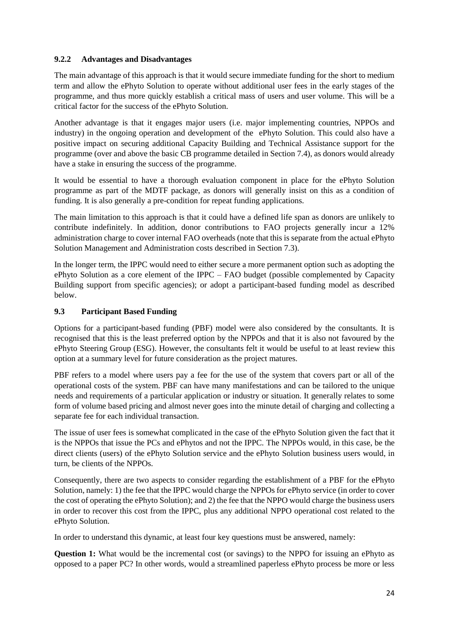#### **9.2.2 Advantages and Disadvantages**

The main advantage of this approach is that it would secure immediate funding for the short to medium term and allow the ePhyto Solution to operate without additional user fees in the early stages of the programme, and thus more quickly establish a critical mass of users and user volume. This will be a critical factor for the success of the ePhyto Solution.

Another advantage is that it engages major users (i.e. major implementing countries, NPPOs and industry) in the ongoing operation and development of the ePhyto Solution. This could also have a positive impact on securing additional Capacity Building and Technical Assistance support for the programme (over and above the basic CB programme detailed in Section 7.4), as donors would already have a stake in ensuring the success of the programme.

It would be essential to have a thorough evaluation component in place for the ePhyto Solution programme as part of the MDTF package, as donors will generally insist on this as a condition of funding. It is also generally a pre-condition for repeat funding applications.

The main limitation to this approach is that it could have a defined life span as donors are unlikely to contribute indefinitely. In addition, donor contributions to FAO projects generally incur a 12% administration charge to cover internal FAO overheads (note that this is separate from the actual ePhyto Solution Management and Administration costs described in Section 7.3).

In the longer term, the IPPC would need to either secure a more permanent option such as adopting the ePhyto Solution as a core element of the IPPC – FAO budget (possible complemented by Capacity Building support from specific agencies); or adopt a participant-based funding model as described below.

## **9.3 Participant Based Funding**

Options for a participant-based funding (PBF) model were also considered by the consultants. It is recognised that this is the least preferred option by the NPPOs and that it is also not favoured by the ePhyto Steering Group (ESG). However, the consultants felt it would be useful to at least review this option at a summary level for future consideration as the project matures.

PBF refers to a model where users pay a fee for the use of the system that covers part or all of the operational costs of the system. PBF can have many manifestations and can be tailored to the unique needs and requirements of a particular application or industry or situation. It generally relates to some form of volume based pricing and almost never goes into the minute detail of charging and collecting a separate fee for each individual transaction.

The issue of user fees is somewhat complicated in the case of the ePhyto Solution given the fact that it is the NPPOs that issue the PCs and ePhytos and not the IPPC. The NPPOs would, in this case, be the direct clients (users) of the ePhyto Solution service and the ePhyto Solution business users would, in turn, be clients of the NPPOs.

Consequently, there are two aspects to consider regarding the establishment of a PBF for the ePhyto Solution, namely: 1) the fee that the IPPC would charge the NPPOs for ePhyto service (in order to cover the cost of operating the ePhyto Solution); and 2) the fee that the NPPO would charge the business users in order to recover this cost from the IPPC, plus any additional NPPO operational cost related to the ePhyto Solution.

In order to understand this dynamic, at least four key questions must be answered, namely:

**Question 1:** What would be the incremental cost (or savings) to the NPPO for issuing an ePhyto as opposed to a paper PC? In other words, would a streamlined paperless ePhyto process be more or less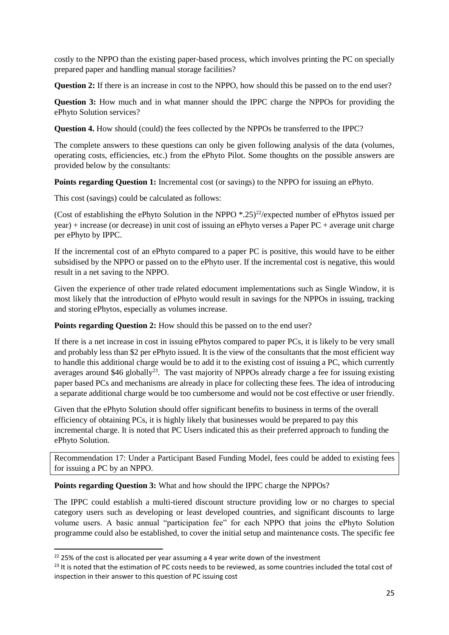costly to the NPPO than the existing paper-based process, which involves printing the PC on specially prepared paper and handling manual storage facilities?

**Question 2:** If there is an increase in cost to the NPPO, how should this be passed on to the end user?

**Question 3:** How much and in what manner should the IPPC charge the NPPOs for providing the ePhyto Solution services?

**Question 4.** How should (could) the fees collected by the NPPOs be transferred to the IPPC?

The complete answers to these questions can only be given following analysis of the data (volumes, operating costs, efficiencies, etc.) from the ePhyto Pilot. Some thoughts on the possible answers are provided below by the consultants:

**Points regarding Question 1:** Incremental cost (or savings) to the NPPO for issuing an ePhyto.

This cost (savings) could be calculated as follows:

(Cost of establishing the ePhyto Solution in the NPPO  $*$ .25)<sup>22</sup>/expected number of ePhytos issued per year) + increase (or decrease) in unit cost of issuing an ePhyto verses a Paper PC + average unit charge per ePhyto by IPPC.

If the incremental cost of an ePhyto compared to a paper PC is positive, this would have to be either subsidised by the NPPO or passed on to the ePhyto user. If the incremental cost is negative, this would result in a net saving to the NPPO.

Given the experience of other trade related edocument implementations such as Single Window, it is most likely that the introduction of ePhyto would result in savings for the NPPOs in issuing, tracking and storing ePhytos, especially as volumes increase.

**Points regarding Question 2:** How should this be passed on to the end user?

If there is a net increase in cost in issuing ePhytos compared to paper PCs, it is likely to be very small and probably less than \$2 per ePhyto issued. It is the view of the consultants that the most efficient way to handle this additional charge would be to add it to the existing cost of issuing a PC, which currently averages around \$46 globally<sup>23</sup>. The vast majority of NPPOs already charge a fee for issuing existing paper based PCs and mechanisms are already in place for collecting these fees. The idea of introducing a separate additional charge would be too cumbersome and would not be cost effective or user friendly.

Given that the ePhyto Solution should offer significant benefits to business in terms of the overall efficiency of obtaining PCs, it is highly likely that businesses would be prepared to pay this incremental charge. It is noted that PC Users indicated this as their preferred approach to funding the ePhyto Solution.

Recommendation 17: Under a Participant Based Funding Model, fees could be added to existing fees for issuing a PC by an NPPO.

**Points regarding Question 3:** What and how should the IPPC charge the NPPOs?

The IPPC could establish a multi-tiered discount structure providing low or no charges to special category users such as developing or least developed countries, and significant discounts to large volume users. A basic annual "participation fee" for each NPPO that joins the ePhyto Solution programme could also be established, to cover the initial setup and maintenance costs. The specific fee

**.** 

 $22$  25% of the cost is allocated per year assuming a 4 year write down of the investment

<sup>&</sup>lt;sup>23</sup> It is noted that the estimation of PC costs needs to be reviewed, as some countries included the total cost of inspection in their answer to this question of PC issuing cost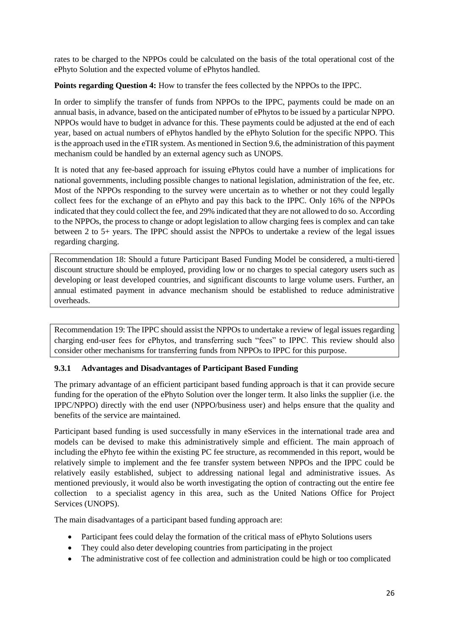rates to be charged to the NPPOs could be calculated on the basis of the total operational cost of the ePhyto Solution and the expected volume of ePhytos handled.

**Points regarding Question 4:** How to transfer the fees collected by the NPPOs to the IPPC.

In order to simplify the transfer of funds from NPPOs to the IPPC, payments could be made on an annual basis, in advance, based on the anticipated number of ePhytos to be issued by a particular NPPO. NPPOs would have to budget in advance for this. These payments could be adjusted at the end of each year, based on actual numbers of ePhytos handled by the ePhyto Solution for the specific NPPO. This is the approach used in the eTIR system. As mentioned in Section 9.6, the administration of this payment mechanism could be handled by an external agency such as UNOPS.

It is noted that any fee-based approach for issuing ePhytos could have a number of implications for national governments, including possible changes to national legislation, administration of the fee, etc. Most of the NPPOs responding to the survey were uncertain as to whether or not they could legally collect fees for the exchange of an ePhyto and pay this back to the IPPC. Only 16% of the NPPOs indicated that they could collect the fee, and 29% indicated that they are not allowed to do so. According to the NPPOs, the process to change or adopt legislation to allow charging fees is complex and can take between 2 to 5+ years. The IPPC should assist the NPPOs to undertake a review of the legal issues regarding charging.

Recommendation 18: Should a future Participant Based Funding Model be considered, a multi-tiered discount structure should be employed, providing low or no charges to special category users such as developing or least developed countries, and significant discounts to large volume users. Further, an annual estimated payment in advance mechanism should be established to reduce administrative overheads.

Recommendation 19: The IPPC should assist the NPPOs to undertake a review of legal issues regarding charging end-user fees for ePhytos, and transferring such "fees" to IPPC. This review should also consider other mechanisms for transferring funds from NPPOs to IPPC for this purpose.

#### **9.3.1 Advantages and Disadvantages of Participant Based Funding**

The primary advantage of an efficient participant based funding approach is that it can provide secure funding for the operation of the ePhyto Solution over the longer term. It also links the supplier (i.e. the IPPC/NPPO) directly with the end user (NPPO/business user) and helps ensure that the quality and benefits of the service are maintained.

Participant based funding is used successfully in many eServices in the international trade area and models can be devised to make this administratively simple and efficient. The main approach of including the ePhyto fee within the existing PC fee structure, as recommended in this report, would be relatively simple to implement and the fee transfer system between NPPOs and the IPPC could be relatively easily established, subject to addressing national legal and administrative issues. As mentioned previously, it would also be worth investigating the option of contracting out the entire fee collection to a specialist agency in this area, such as the United Nations Office for Project Services (UNOPS).

The main disadvantages of a participant based funding approach are:

- Participant fees could delay the formation of the critical mass of ePhyto Solutions users
- They could also deter developing countries from participating in the project
- The administrative cost of fee collection and administration could be high or too complicated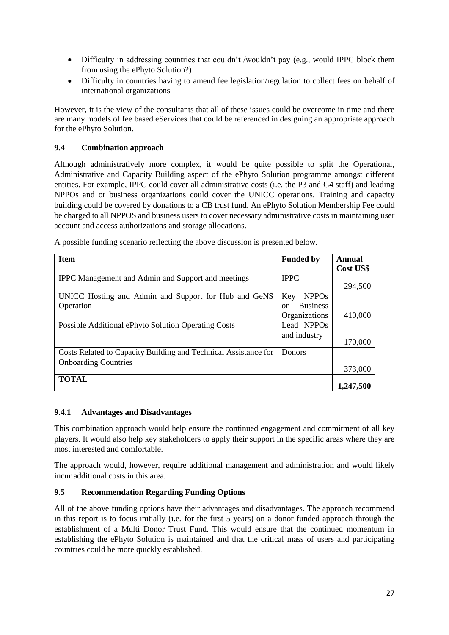- Difficulty in addressing countries that couldn't /wouldn't pay (e.g., would IPPC block them from using the ePhyto Solution?)
- Difficulty in countries having to amend fee legislation/regulation to collect fees on behalf of international organizations

However, it is the view of the consultants that all of these issues could be overcome in time and there are many models of fee based eServices that could be referenced in designing an appropriate approach for the ePhyto Solution.

#### **9.4 Combination approach**

Although administratively more complex, it would be quite possible to split the Operational, Administrative and Capacity Building aspect of the ePhyto Solution programme amongst different entities. For example, IPPC could cover all administrative costs (i.e. the P3 and G4 staff) and leading NPPOs and or business organizations could cover the UNICC operations. Training and capacity building could be covered by donations to a CB trust fund. An ePhyto Solution Membership Fee could be charged to all NPPOS and business users to cover necessary administrative costs in maintaining user account and access authorizations and storage allocations.

| <b>Item</b>                                                     | <b>Funded by</b>      | Annual    |
|-----------------------------------------------------------------|-----------------------|-----------|
|                                                                 |                       | Cost US\$ |
| <b>IPPC</b> Management and Admin and Support and meetings       | <b>IPPC</b>           |           |
|                                                                 |                       | 294,500   |
| UNICC Hosting and Admin and Support for Hub and GeNS            | <b>NPPOs</b><br>Key   |           |
| Operation                                                       | <b>Business</b><br>or |           |
|                                                                 | Organizations         | 410,000   |
| <b>Possible Additional ePhyto Solution Operating Costs</b>      | Lead NPPOs            |           |
|                                                                 | and industry          |           |
|                                                                 |                       | 170,000   |
| Costs Related to Capacity Building and Technical Assistance for | Donors                |           |
| <b>Onboarding Countries</b>                                     |                       |           |
|                                                                 |                       | 373,000   |
| <b>TOTAL</b>                                                    |                       |           |
|                                                                 |                       | 1,247,500 |

A possible funding scenario reflecting the above discussion is presented below.

#### **9.4.1 Advantages and Disadvantages**

This combination approach would help ensure the continued engagement and commitment of all key players. It would also help key stakeholders to apply their support in the specific areas where they are most interested and comfortable.

The approach would, however, require additional management and administration and would likely incur additional costs in this area.

#### **9.5 Recommendation Regarding Funding Options**

All of the above funding options have their advantages and disadvantages. The approach recommend in this report is to focus initially (i.e. for the first 5 years) on a donor funded approach through the establishment of a Multi Donor Trust Fund. This would ensure that the continued momentum in establishing the ePhyto Solution is maintained and that the critical mass of users and participating countries could be more quickly established.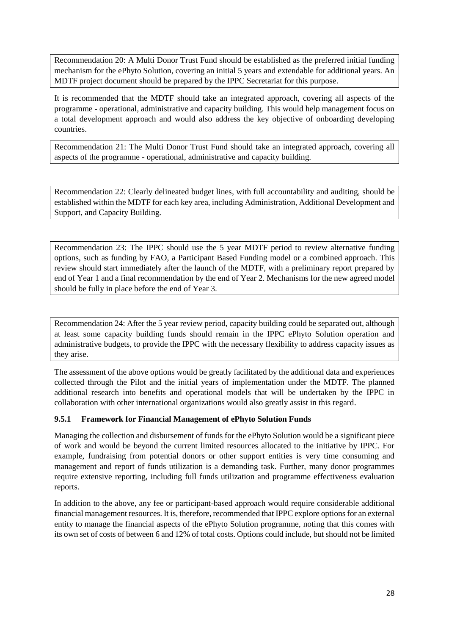Recommendation 20: A Multi Donor Trust Fund should be established as the preferred initial funding mechanism for the ePhyto Solution, covering an initial 5 years and extendable for additional years. An MDTF project document should be prepared by the IPPC Secretariat for this purpose.

It is recommended that the MDTF should take an integrated approach, covering all aspects of the programme - operational, administrative and capacity building. This would help management focus on a total development approach and would also address the key objective of onboarding developing countries.

Recommendation 21: The Multi Donor Trust Fund should take an integrated approach, covering all aspects of the programme - operational, administrative and capacity building.

Recommendation 22: Clearly delineated budget lines, with full accountability and auditing, should be established within the MDTF for each key area, including Administration, Additional Development and Support, and Capacity Building.

Recommendation 23: The IPPC should use the 5 year MDTF period to review alternative funding options, such as funding by FAO, a Participant Based Funding model or a combined approach. This review should start immediately after the launch of the MDTF, with a preliminary report prepared by end of Year 1 and a final recommendation by the end of Year 2. Mechanisms for the new agreed model should be fully in place before the end of Year 3.

Recommendation 24: After the 5 year review period, capacity building could be separated out, although at least some capacity building funds should remain in the IPPC ePhyto Solution operation and administrative budgets, to provide the IPPC with the necessary flexibility to address capacity issues as they arise.

The assessment of the above options would be greatly facilitated by the additional data and experiences collected through the Pilot and the initial years of implementation under the MDTF. The planned additional research into benefits and operational models that will be undertaken by the IPPC in collaboration with other international organizations would also greatly assist in this regard.

#### **9.5.1 Framework for Financial Management of ePhyto Solution Funds**

Managing the collection and disbursement of funds for the ePhyto Solution would be a significant piece of work and would be beyond the current limited resources allocated to the initiative by IPPC. For example, fundraising from potential donors or other support entities is very time consuming and management and report of funds utilization is a demanding task. Further, many donor programmes require extensive reporting, including full funds utilization and programme effectiveness evaluation reports.

In addition to the above, any fee or participant-based approach would require considerable additional financial management resources. It is, therefore, recommended that IPPC explore options for an external entity to manage the financial aspects of the ePhyto Solution programme, noting that this comes with its own set of costs of between 6 and 12% of total costs. Options could include, but should not be limited